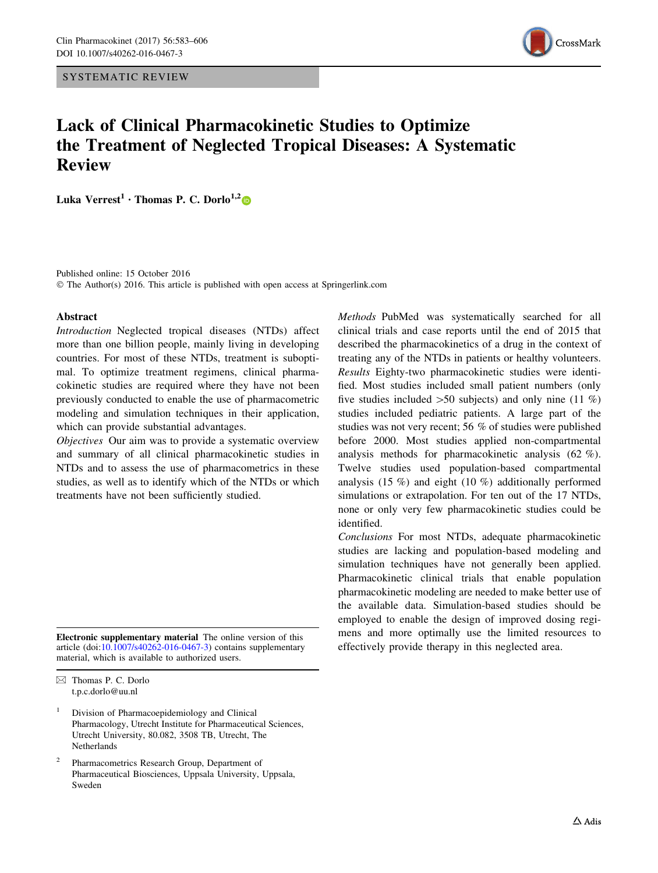SYSTEMATIC REVIEW



# Lack of Clinical Pharmacokinetic Studies to Optimize the Treatment of Neglected Tropical Diseases: A Systematic Review

Luka Verrest<sup>1</sup> · Thomas P. C. Dorlo<sup>1,2</sup>

Published online: 15 October 2016 © The Author(s) 2016. This article is published with open access at Springerlink.com

#### Abstract

Introduction Neglected tropical diseases (NTDs) affect more than one billion people, mainly living in developing countries. For most of these NTDs, treatment is suboptimal. To optimize treatment regimens, clinical pharmacokinetic studies are required where they have not been previously conducted to enable the use of pharmacometric modeling and simulation techniques in their application, which can provide substantial advantages.

Objectives Our aim was to provide a systematic overview and summary of all clinical pharmacokinetic studies in NTDs and to assess the use of pharmacometrics in these studies, as well as to identify which of the NTDs or which treatments have not been sufficiently studied.

Electronic supplementary material The online version of this article (doi:[10.1007/s40262-016-0467-3\)](http://dx.doi.org/10.1007/s40262-016-0467-3) contains supplementary material, which is available to authorized users.

Methods PubMed was systematically searched for all clinical trials and case reports until the end of 2015 that described the pharmacokinetics of a drug in the context of treating any of the NTDs in patients or healthy volunteers. Results Eighty-two pharmacokinetic studies were identified. Most studies included small patient numbers (only five studies included  $>50$  subjects) and only nine (11 %) studies included pediatric patients. A large part of the studies was not very recent; 56 % of studies were published before 2000. Most studies applied non-compartmental analysis methods for pharmacokinetic analysis (62 %). Twelve studies used population-based compartmental analysis (15 %) and eight (10 %) additionally performed simulations or extrapolation. For ten out of the 17 NTDs, none or only very few pharmacokinetic studies could be identified.

Conclusions For most NTDs, adequate pharmacokinetic studies are lacking and population-based modeling and simulation techniques have not generally been applied. Pharmacokinetic clinical trials that enable population pharmacokinetic modeling are needed to make better use of the available data. Simulation-based studies should be employed to enable the design of improved dosing regimens and more optimally use the limited resources to effectively provide therapy in this neglected area.

<sup>&</sup>amp; Thomas P. C. Dorlo t.p.c.dorlo@uu.nl

<sup>&</sup>lt;sup>1</sup> Division of Pharmacoepidemiology and Clinical Pharmacology, Utrecht Institute for Pharmaceutical Sciences, Utrecht University, 80.082, 3508 TB, Utrecht, The **Netherlands** 

<sup>2</sup> Pharmacometrics Research Group, Department of Pharmaceutical Biosciences, Uppsala University, Uppsala, Sweden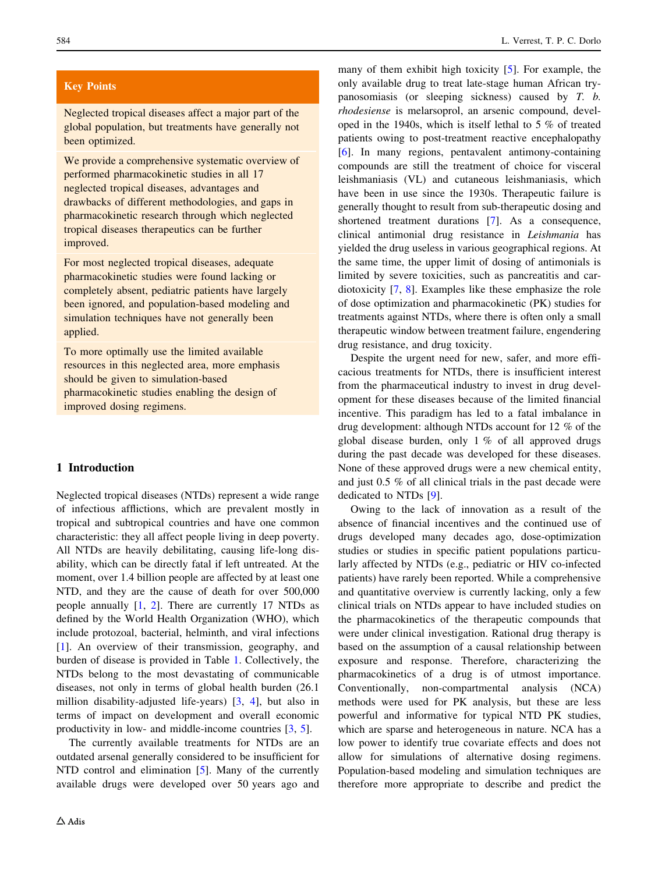# Key Points

Neglected tropical diseases affect a major part of the global population, but treatments have generally not been optimized.

We provide a comprehensive systematic overview of performed pharmacokinetic studies in all 17 neglected tropical diseases, advantages and drawbacks of different methodologies, and gaps in pharmacokinetic research through which neglected tropical diseases therapeutics can be further improved.

For most neglected tropical diseases, adequate pharmacokinetic studies were found lacking or completely absent, pediatric patients have largely been ignored, and population-based modeling and simulation techniques have not generally been applied.

To more optimally use the limited available resources in this neglected area, more emphasis should be given to simulation-based pharmacokinetic studies enabling the design of improved dosing regimens.

## 1 Introduction

Neglected tropical diseases (NTDs) represent a wide range of infectious afflictions, which are prevalent mostly in tropical and subtropical countries and have one common characteristic: they all affect people living in deep poverty. All NTDs are heavily debilitating, causing life-long disability, which can be directly fatal if left untreated. At the moment, over 1.4 billion people are affected by at least one NTD, and they are the cause of death for over 500,000 people annually [[1,](#page-20-0) [2\]](#page-20-0). There are currently 17 NTDs as defined by the World Health Organization (WHO), which include protozoal, bacterial, helminth, and viral infections [\[1](#page-20-0)]. An overview of their transmission, geography, and burden of disease is provided in Table [1](#page-2-0). Collectively, the NTDs belong to the most devastating of communicable diseases, not only in terms of global health burden (26.1 million disability-adjusted life-years) [[3,](#page-20-0) [4](#page-20-0)], but also in terms of impact on development and overall economic productivity in low- and middle-income countries [\[3](#page-20-0), [5](#page-20-0)].

The currently available treatments for NTDs are an outdated arsenal generally considered to be insufficient for NTD control and elimination [[5\]](#page-20-0). Many of the currently available drugs were developed over 50 years ago and many of them exhibit high toxicity [\[5](#page-20-0)]. For example, the only available drug to treat late-stage human African trypanosomiasis (or sleeping sickness) caused by T. b. rhodesiense is melarsoprol, an arsenic compound, developed in the 1940s, which is itself lethal to 5 % of treated patients owing to post-treatment reactive encephalopathy [\[6](#page-20-0)]. In many regions, pentavalent antimony-containing compounds are still the treatment of choice for visceral leishmaniasis (VL) and cutaneous leishmaniasis, which have been in use since the 1930s. Therapeutic failure is generally thought to result from sub-therapeutic dosing and shortened treatment durations [[7\]](#page-20-0). As a consequence, clinical antimonial drug resistance in Leishmania has yielded the drug useless in various geographical regions. At the same time, the upper limit of dosing of antimonials is limited by severe toxicities, such as pancreatitis and cardiotoxicity [\[7](#page-20-0), [8](#page-20-0)]. Examples like these emphasize the role of dose optimization and pharmacokinetic (PK) studies for treatments against NTDs, where there is often only a small therapeutic window between treatment failure, engendering drug resistance, and drug toxicity.

Despite the urgent need for new, safer, and more efficacious treatments for NTDs, there is insufficient interest from the pharmaceutical industry to invest in drug development for these diseases because of the limited financial incentive. This paradigm has led to a fatal imbalance in drug development: although NTDs account for 12 % of the global disease burden, only 1 % of all approved drugs during the past decade was developed for these diseases. None of these approved drugs were a new chemical entity, and just 0.5 % of all clinical trials in the past decade were dedicated to NTDs [\[9](#page-20-0)].

Owing to the lack of innovation as a result of the absence of financial incentives and the continued use of drugs developed many decades ago, dose-optimization studies or studies in specific patient populations particularly affected by NTDs (e.g., pediatric or HIV co-infected patients) have rarely been reported. While a comprehensive and quantitative overview is currently lacking, only a few clinical trials on NTDs appear to have included studies on the pharmacokinetics of the therapeutic compounds that were under clinical investigation. Rational drug therapy is based on the assumption of a causal relationship between exposure and response. Therefore, characterizing the pharmacokinetics of a drug is of utmost importance. Conventionally, non-compartmental analysis (NCA) methods were used for PK analysis, but these are less powerful and informative for typical NTD PK studies, which are sparse and heterogeneous in nature. NCA has a low power to identify true covariate effects and does not allow for simulations of alternative dosing regimens. Population-based modeling and simulation techniques are therefore more appropriate to describe and predict the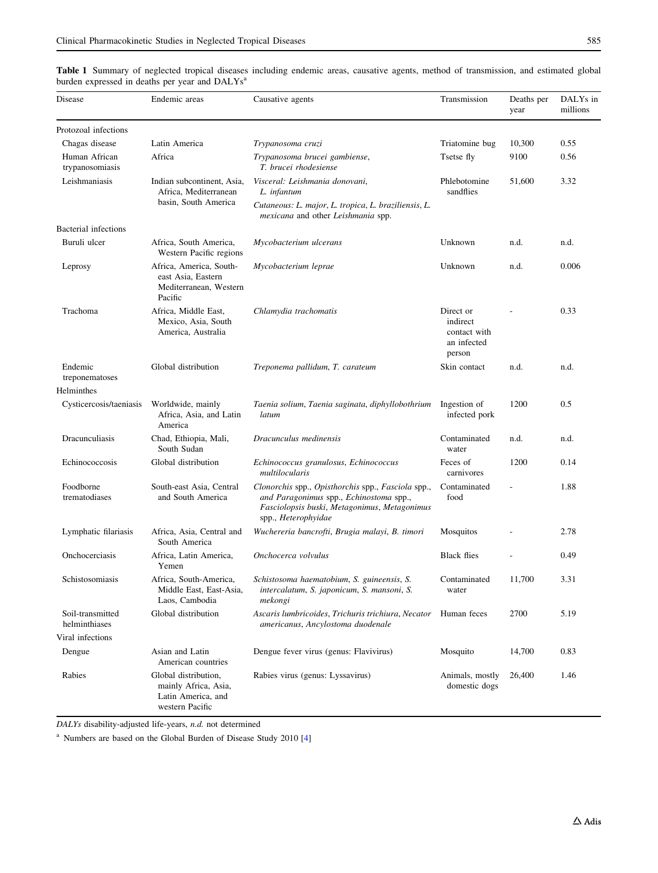<span id="page-2-0"></span>Table 1 Summary of neglected tropical diseases including endemic areas, causative agents, method of transmission, and estimated global burden expressed in deaths per year and DALYs<sup>a</sup>

| Disease                           | Endemic areas                                                                         | Causative agents                                                                                                                                                     | Transmission                                                   | Deaths per<br>year | DALYs in<br>millions |
|-----------------------------------|---------------------------------------------------------------------------------------|----------------------------------------------------------------------------------------------------------------------------------------------------------------------|----------------------------------------------------------------|--------------------|----------------------|
| Protozoal infections              |                                                                                       |                                                                                                                                                                      |                                                                |                    |                      |
| Chagas disease                    | Latin America                                                                         | Trypanosoma cruzi                                                                                                                                                    | Triatomine bug                                                 | 10,300             | 0.55                 |
| Human African<br>trypanosomiasis  | Africa                                                                                | Trypanosoma brucei gambiense,<br>T. brucei rhodesiense                                                                                                               | Tsetse fly                                                     | 9100               | 0.56                 |
| Leishmaniasis                     | Indian subcontinent, Asia,<br>Africa, Mediterranean                                   | Visceral: Leishmania donovani,<br>L. infantum                                                                                                                        | Phlebotomine<br>sandflies                                      | 51,600             | 3.32                 |
|                                   | basin, South America                                                                  | Cutaneous: L. major, L. tropica, L. braziliensis, L.<br>mexicana and other Leishmania spp.                                                                           |                                                                |                    |                      |
| <b>Bacterial infections</b>       |                                                                                       |                                                                                                                                                                      |                                                                |                    |                      |
| Buruli ulcer                      | Africa, South America,<br>Western Pacific regions                                     | Mycobacterium ulcerans                                                                                                                                               | Unknown                                                        | n.d.               | n.d.                 |
| Leprosy                           | Africa, America, South-<br>east Asia, Eastern<br>Mediterranean, Western<br>Pacific    | Mycobacterium leprae                                                                                                                                                 | Unknown                                                        | n.d.               | 0.006                |
| Trachoma                          | Africa, Middle East,<br>Mexico, Asia, South<br>America, Australia                     | Chlamydia trachomatis                                                                                                                                                | Direct or<br>indirect<br>contact with<br>an infected<br>person |                    | 0.33                 |
| Endemic<br>treponematoses         | Global distribution                                                                   | Treponema pallidum, T. carateum                                                                                                                                      | Skin contact                                                   | n.d.               | n.d.                 |
| Helminthes                        |                                                                                       |                                                                                                                                                                      |                                                                |                    |                      |
| Cysticercosis/taeniasis           | Worldwide, mainly<br>Africa, Asia, and Latin<br>America                               | Taenia solium, Taenia saginata, diphyllobothrium<br>latum                                                                                                            | Ingestion of<br>infected pork                                  | 1200               | 0.5                  |
| Dracunculiasis                    | Chad, Ethiopia, Mali,<br>South Sudan                                                  | Dracunculus medinensis                                                                                                                                               | Contaminated<br>water                                          | n.d.               | n.d.                 |
| Echinococcosis                    | Global distribution                                                                   | Echinococcus granulosus, Echinococcus<br>multilocularis                                                                                                              | Feces of<br>carnivores                                         | 1200               | 0.14                 |
| Foodborne<br>trematodiases        | South-east Asia, Central<br>and South America                                         | Clonorchis spp., Opisthorchis spp., Fasciola spp.,<br>and Paragonimus spp., Echinostoma spp.,<br>Fasciolopsis buski, Metagonimus, Metagonimus<br>spp., Heterophyidae | Contaminated<br>food                                           |                    | 1.88                 |
| Lymphatic filariasis              | Africa, Asia, Central and<br>South America                                            | Wuchereria bancrofti, Brugia malayi, B. timori                                                                                                                       | Mosquitos                                                      |                    | 2.78                 |
| Onchocerciasis                    | Africa, Latin America,<br>Yemen                                                       | Onchocerca volvulus                                                                                                                                                  | <b>Black flies</b>                                             |                    | 0.49                 |
| Schistosomiasis                   | Africa, South-America,<br>Middle East, East-Asia,<br>Laos, Cambodia                   | Schistosoma haematobium, S. guineensis, S.<br>intercalatum, S. japonicum, S. mansoni, S.<br>mekongi                                                                  | Contaminated<br>water                                          | 11,700             | 3.31                 |
| Soil-transmitted<br>helminthiases | Global distribution                                                                   | Ascaris lumbricoides, Trichuris trichiura, Necator<br>americanus, Ancylostoma duodenale                                                                              | Human feces                                                    | 2700               | 5.19                 |
| Viral infections                  |                                                                                       |                                                                                                                                                                      |                                                                |                    |                      |
| Dengue                            | Asian and Latin<br>American countries                                                 | Dengue fever virus (genus: Flavivirus)                                                                                                                               | Mosquito                                                       | 14,700             | 0.83                 |
| Rabies                            | Global distribution.<br>mainly Africa, Asia,<br>Latin America, and<br>western Pacific | Rabies virus (genus: Lyssavirus)                                                                                                                                     | Animals, mostly<br>domestic dogs                               | 26,400             | 1.46                 |

DALYs disability-adjusted life-years, n.d. not determined

<sup>a</sup> Numbers are based on the Global Burden of Disease Study 2010 [\[4](#page-20-0)]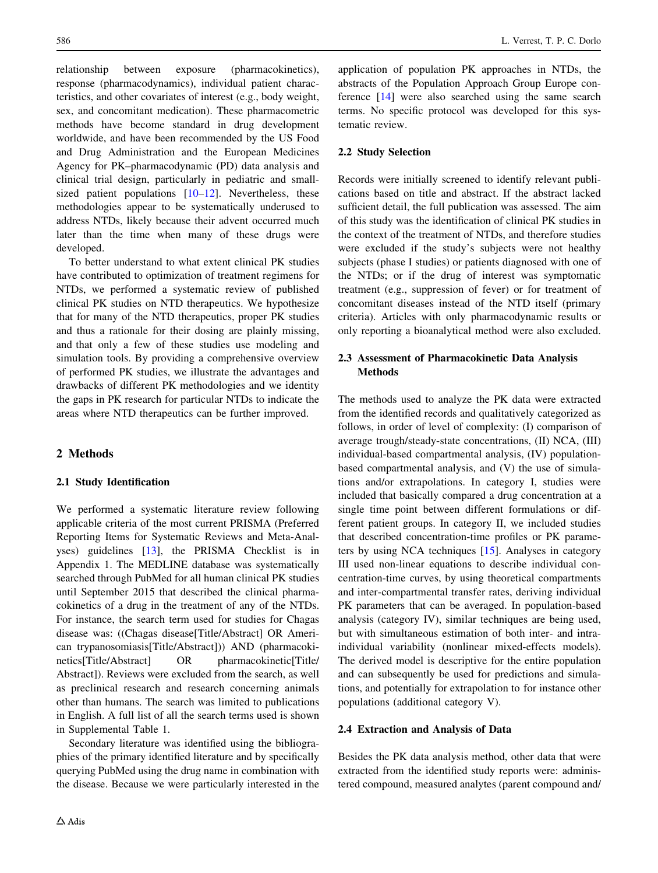relationship between exposure (pharmacokinetics), response (pharmacodynamics), individual patient characteristics, and other covariates of interest (e.g., body weight, sex, and concomitant medication). These pharmacometric methods have become standard in drug development worldwide, and have been recommended by the US Food and Drug Administration and the European Medicines Agency for PK–pharmacodynamic (PD) data analysis and clinical trial design, particularly in pediatric and smallsized patient populations  $[10-12]$ . Nevertheless, these methodologies appear to be systematically underused to address NTDs, likely because their advent occurred much later than the time when many of these drugs were developed.

To better understand to what extent clinical PK studies have contributed to optimization of treatment regimens for NTDs, we performed a systematic review of published clinical PK studies on NTD therapeutics. We hypothesize that for many of the NTD therapeutics, proper PK studies and thus a rationale for their dosing are plainly missing, and that only a few of these studies use modeling and simulation tools. By providing a comprehensive overview of performed PK studies, we illustrate the advantages and drawbacks of different PK methodologies and we identity the gaps in PK research for particular NTDs to indicate the areas where NTD therapeutics can be further improved.

#### 2 Methods

#### 2.1 Study Identification

We performed a systematic literature review following applicable criteria of the most current PRISMA (Preferred Reporting Items for Systematic Reviews and Meta-Analyses) guidelines [[13\]](#page-20-0), the PRISMA Checklist is in Appendix 1. The MEDLINE database was systematically searched through PubMed for all human clinical PK studies until September 2015 that described the clinical pharmacokinetics of a drug in the treatment of any of the NTDs. For instance, the search term used for studies for Chagas disease was: ((Chagas disease[Title/Abstract] OR American trypanosomiasis[Title/Abstract])) AND (pharmacokinetics[Title/Abstract] OR pharmacokinetic[Title/ Abstract]). Reviews were excluded from the search, as well as preclinical research and research concerning animals other than humans. The search was limited to publications in English. A full list of all the search terms used is shown in Supplemental Table 1.

Secondary literature was identified using the bibliographies of the primary identified literature and by specifically querying PubMed using the drug name in combination with the disease. Because we were particularly interested in the application of population PK approaches in NTDs, the abstracts of the Population Approach Group Europe conference [\[14](#page-20-0)] were also searched using the same search terms. No specific protocol was developed for this systematic review.

## 2.2 Study Selection

Records were initially screened to identify relevant publications based on title and abstract. If the abstract lacked sufficient detail, the full publication was assessed. The aim of this study was the identification of clinical PK studies in the context of the treatment of NTDs, and therefore studies were excluded if the study's subjects were not healthy subjects (phase I studies) or patients diagnosed with one of the NTDs; or if the drug of interest was symptomatic treatment (e.g., suppression of fever) or for treatment of concomitant diseases instead of the NTD itself (primary criteria). Articles with only pharmacodynamic results or only reporting a bioanalytical method were also excluded.

# 2.3 Assessment of Pharmacokinetic Data Analysis Methods

The methods used to analyze the PK data were extracted from the identified records and qualitatively categorized as follows, in order of level of complexity: (I) comparison of average trough/steady-state concentrations, (II) NCA, (III) individual-based compartmental analysis, (IV) populationbased compartmental analysis, and (V) the use of simulations and/or extrapolations. In category I, studies were included that basically compared a drug concentration at a single time point between different formulations or different patient groups. In category II, we included studies that described concentration-time profiles or PK parameters by using NCA techniques [\[15](#page-20-0)]. Analyses in category III used non-linear equations to describe individual concentration-time curves, by using theoretical compartments and inter-compartmental transfer rates, deriving individual PK parameters that can be averaged. In population-based analysis (category IV), similar techniques are being used, but with simultaneous estimation of both inter- and intraindividual variability (nonlinear mixed-effects models). The derived model is descriptive for the entire population and can subsequently be used for predictions and simulations, and potentially for extrapolation to for instance other populations (additional category V).

#### 2.4 Extraction and Analysis of Data

Besides the PK data analysis method, other data that were extracted from the identified study reports were: administered compound, measured analytes (parent compound and/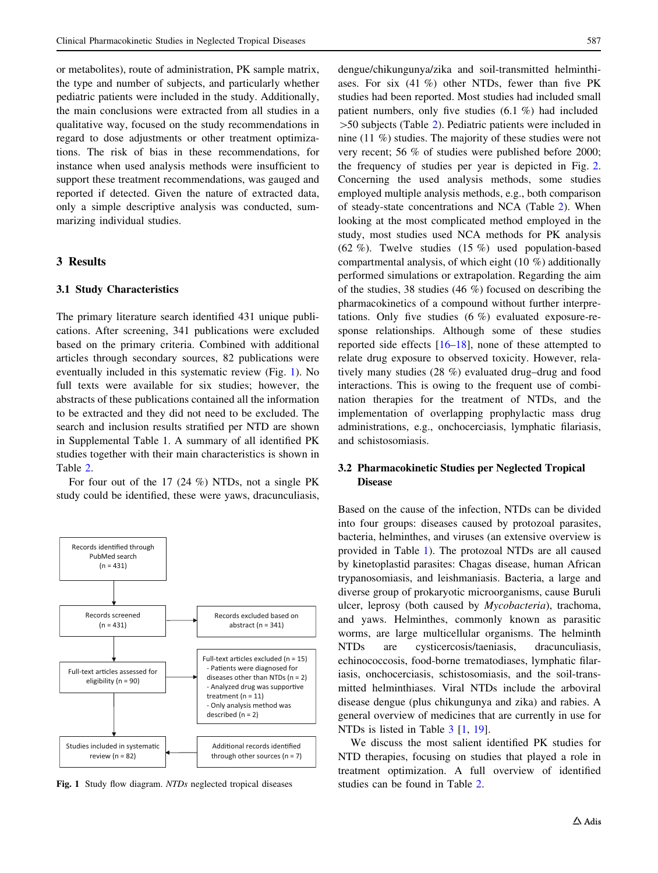or metabolites), route of administration, PK sample matrix, the type and number of subjects, and particularly whether pediatric patients were included in the study. Additionally, the main conclusions were extracted from all studies in a qualitative way, focused on the study recommendations in regard to dose adjustments or other treatment optimizations. The risk of bias in these recommendations, for instance when used analysis methods were insufficient to support these treatment recommendations, was gauged and reported if detected. Given the nature of extracted data, only a simple descriptive analysis was conducted, summarizing individual studies.

### 3 Results

## 3.1 Study Characteristics

The primary literature search identified 431 unique publications. After screening, 341 publications were excluded based on the primary criteria. Combined with additional articles through secondary sources, 82 publications were eventually included in this systematic review (Fig. 1). No full texts were available for six studies; however, the abstracts of these publications contained all the information to be extracted and they did not need to be excluded. The search and inclusion results stratified per NTD are shown in Supplemental Table 1. A summary of all identified PK studies together with their main characteristics is shown in Table [2](#page-5-0).

For four out of the 17 (24 %) NTDs, not a single PK study could be identified, these were yaws, dracunculiasis,



Fig. 1 Study flow diagram. NTDs neglected tropical diseases

dengue/chikungunya/zika and soil-transmitted helminthiases. For six (41 %) other NTDs, fewer than five PK studies had been reported. Most studies had included small patient numbers, only five studies (6.1 %) had included  $>50$  subjects (Table [2\)](#page-5-0). Pediatric patients were included in nine (11 %) studies. The majority of these studies were not very recent; 56 % of studies were published before 2000; the frequency of studies per year is depicted in Fig. [2.](#page-10-0) Concerning the used analysis methods, some studies employed multiple analysis methods, e.g., both comparison of steady-state concentrations and NCA (Table [2](#page-5-0)). When looking at the most complicated method employed in the study, most studies used NCA methods for PK analysis (62 %). Twelve studies (15 %) used population-based compartmental analysis, of which eight (10 %) additionally performed simulations or extrapolation. Regarding the aim of the studies, 38 studies (46 %) focused on describing the pharmacokinetics of a compound without further interpretations. Only five studies (6 %) evaluated exposure-response relationships. Although some of these studies reported side effects [[16–18\]](#page-20-0), none of these attempted to relate drug exposure to observed toxicity. However, relatively many studies (28 %) evaluated drug–drug and food interactions. This is owing to the frequent use of combination therapies for the treatment of NTDs, and the implementation of overlapping prophylactic mass drug administrations, e.g., onchocerciasis, lymphatic filariasis, and schistosomiasis.

# 3.2 Pharmacokinetic Studies per Neglected Tropical Disease

Based on the cause of the infection, NTDs can be divided into four groups: diseases caused by protozoal parasites, bacteria, helminthes, and viruses (an extensive overview is provided in Table [1](#page-2-0)). The protozoal NTDs are all caused by kinetoplastid parasites: Chagas disease, human African trypanosomiasis, and leishmaniasis. Bacteria, a large and diverse group of prokaryotic microorganisms, cause Buruli ulcer, leprosy (both caused by Mycobacteria), trachoma, and yaws. Helminthes, commonly known as parasitic worms, are large multicellular organisms. The helminth NTDs are cysticercosis/taeniasis, dracunculiasis, echinococcosis, food-borne trematodiases, lymphatic filariasis, onchocerciasis, schistosomiasis, and the soil-transmitted helminthiases. Viral NTDs include the arboviral disease dengue (plus chikungunya and zika) and rabies. A general overview of medicines that are currently in use for NTDs is listed in Table [3](#page-11-0) [[1,](#page-20-0) [19\]](#page-20-0).

We discuss the most salient identified PK studies for NTD therapies, focusing on studies that played a role in treatment optimization. A full overview of identified studies can be found in Table [2](#page-5-0).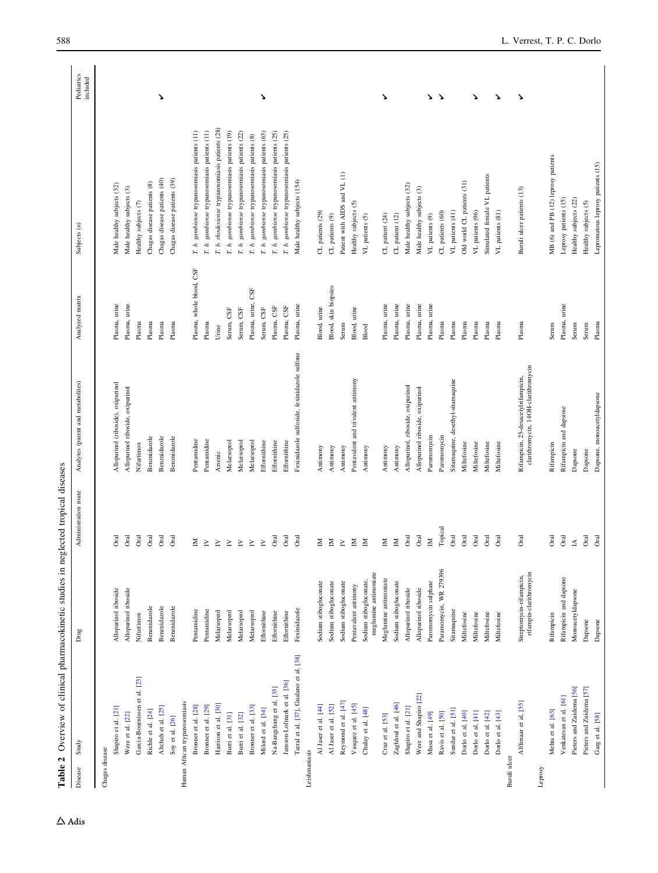<span id="page-5-0"></span>

| Disease        | Study                                   | Drug                                                | Administration route    | Analytes (parent and metabolites)                                          | Analyzed matrix          | Subjects (n)                                    | Pediatrics<br>included |
|----------------|-----------------------------------------|-----------------------------------------------------|-------------------------|----------------------------------------------------------------------------|--------------------------|-------------------------------------------------|------------------------|
| Chagas disease |                                         |                                                     |                         |                                                                            |                          |                                                 |                        |
|                | Shapiro et al. [21]                     | Allopurinol riboside                                | Oral                    | Allopurinol (riboside), oxipurinol                                         | Plasma, urine            | Male healthy subjects (32)                      |                        |
|                | Were et al. [22]                        | Allopurinol riboside                                | Oral                    | Allopurinol riboside, oxipurinol                                           | Plasma, urine            | Male healthy subjects (3)                       |                        |
|                | Garcia-Bournissen et al. [23]           | Nifurtimox                                          | Oral                    | Nifurtimox                                                                 | Plasma                   | Healthy subjects (7)                            |                        |
|                | Richle et al. [24]                      | Benznidazole                                        | Oral                    | Benznidazole                                                               | Plasma                   | Chagas disease patients (8)                     |                        |
|                | Altcheh et al. [25]                     | Benznidazole                                        | Oral                    | Benznidazole                                                               | Plasma                   | Chagas disease patients (40)                    | ↘                      |
|                | Soy et al. [26]                         | Benznidazole                                        | Oral                    | Benznidazole                                                               | Plasma                   | Chagas disease patients (39)                    |                        |
|                | Human African trypanosomiasis           |                                                     |                         |                                                                            |                          |                                                 |                        |
|                | Bronner et al. [28]                     | Pentamidine                                         | Σ                       | Pentamidine                                                                | Plasma, whole blood, CSF | T. b. gambiense trypanosomiasis patients (11)   |                        |
|                | Bronner et al. [29]                     | Pentamidine                                         | $\geq$                  | Pentamidine                                                                | Plasma                   | T. b. gambiense trypanosomiasis patients (11)   |                        |
|                | Harrison et al. [30]                    | Melarsoprol                                         | $\geq$                  | Arsenic                                                                    | Urine                    | T. b. rhodesiense trypanosomiasis patients (28) |                        |
|                | Buri et al. [31]                        | Melarsoprol                                         | $\geq$                  | Melarsoprol                                                                | Serum, CSF               | T. b. gambiense trypanosomiasis patients (19)   |                        |
|                | Burri et al. [32]                       | Melarsoprol                                         | $\geq$                  | Melarsoprol                                                                | Serum, CSF               | T. b. gambiense trypanosomiasis patients (22)   |                        |
|                | Bronner et al. [33]                     | Melarsoprol                                         | $\geq$                  | Melarsoprol                                                                | Plasma, urine, CSF       | T. b. gambiense trypanosomiasis patients (8)    |                        |
|                | Milord et al. [34]                      | Eflornithine                                        | $\geq$                  | Eflornithine                                                               | Serum, CSF               | T. b. gambiense trypanosomiasis patients (63)   | ↘                      |
|                | Na-Bangchang et al. [35]                | Eflornithine                                        | Oral                    | Eflornithine                                                               | Plasma, CSF              | T. b. gambiense trypanosomiasis patients (25)   |                        |
|                | Jansson-Lofmark et al. [36]             | Eflornithine                                        | Oral                    | Eflornithine                                                               | Plasma, CSF              | T. b. gambiense trypanosomiasis patients (25)   |                        |
|                | Tarral et al. [37], Gualano et al. [38] | Fexinidazole                                        | <b>Oral</b>             | Fexinidazole sulfoxide, fexinidazole sulfone                               | Plasma, urine            | Male healthy subjects (154)                     |                        |
| Leishmaniasis  |                                         |                                                     |                         |                                                                            |                          |                                                 |                        |
|                | Al Jaser et al. [44]                    | Sodium stibogluconate                               | Σ                       | Antimony                                                                   | Blood, urine             | CL patients (29)                                |                        |
|                | Al Jaser et al. [52]                    | Sodium stibogluconate                               | $\mathbb N$             | Antimony                                                                   | Blood, skin biopsies     | CL patients (9)                                 |                        |
|                | Reymond et al. [47]                     | Sodium stibogluconate                               | $\geq$                  | Antimony                                                                   | Serum                    | Patient with AIDS and VL (1)                    |                        |
|                | Vasquez et al. [45]                     | Pentavalent antimony                                | $\geq$                  | Pentavalent and trivalent antimony                                         | Blood, urine             | Healthy subjects (5)                            |                        |
|                | Chulay et al. [48]                      | meglumine antimoniate<br>Sodium stibogluconate,     | $\geq$                  | Antimony                                                                   | ${\rm Blood}$            | VL patients (5)                                 |                        |
|                | Cruz et al. [53]                        | Meglumine antimoniate                               | Σ                       | Antimony                                                                   | Plasma, urine            | CL patient $(24)$                               | ↘                      |
|                | Zaghloul et al. [46]                    | Sodium stibogluconate                               | $\geq$                  | Antimony                                                                   | Plasma, urine            | CL patient (12)                                 |                        |
|                | Shapiro et al. [21]                     | Allopurinol riboside                                | <b>Oral</b>             | Allopurinol, riboside, oxipurinol                                          | Plasma, urine            | Male healthy subjects (32)                      |                        |
|                | Were and Shapiro [22]                   | Allopurinol riboside                                | Oral                    | Allopurinol riboside, oxipurinol                                           | Plasma, urine            | Male healthy subjects (3)                       |                        |
|                | Musa et al. [49]                        | Paromomycin sulphate                                | $\overline{\mathbb{M}}$ | Paromomycin                                                                | Plasma, urine            | VL patients (9)                                 | 17                     |
|                | Ravis et al. [50]                       | Paramomycin, WR 279396                              | Topical                 | Paromomycin                                                                | $_{\rm Plasma}$          | CL patients (60)                                |                        |
|                | Sundar et al. [51]                      | Sitamaquine                                         | Oral                    | Sitamaquine, desethyl-sitamaquine                                          | Plasma                   | VL patients (41)                                |                        |
|                | Dorlo et al. [40]                       | Miltefosine                                         | <b>Oral</b>             | Miltefosine                                                                | Plasma                   | Old world CL patients (31)                      |                        |
|                | Dorlo et al. [41]                       | Miltefosine                                         | Oral                    | Miltefosine                                                                | Plasma                   | VL patients (96)                                | ↘                      |
|                | Dorlo et al. [42]                       | Miltefosine                                         | Oral                    | Miltefosine                                                                | Plasma                   | Simulated female VL patients                    |                        |
|                | Dorlo et al. [43]                       | Miltefosine                                         | Oral                    | Miltefosine                                                                | Plasma                   | VL patients (81)                                | ↘                      |
| Buruli ulcer   |                                         |                                                     |                         |                                                                            |                          |                                                 |                        |
|                | Alffenaar et al. [55]                   | rifampin-clarithromycin<br>Streptomycin-rifampicin, | Oral                    | clarithromycin, 14OH-clarithromycin<br>Rifampicin, 25-desacetylrifampicin, | Plasma                   | Buruli ulcer patients (13)                      | ↘                      |
| Leprosy        |                                         |                                                     |                         |                                                                            |                          |                                                 |                        |
|                | Mehta et al. [63]                       | Rifampicin                                          | <b>Oral</b>             | Rifampicin                                                                 | Serum                    | MB (6) and PB (12) leprosy patients             |                        |
|                | Venkatesan et al. [61]                  | Rifampicin and dapsone                              | <b>Oral</b>             | Rifampicin and dapsone                                                     | Plasma, urine            | Leprosy patients (15)                           |                        |
|                | Pieters and Zuidema <sup>[56]</sup>     | Monoacetyldapsone                                   | $\Delta$                | Dapsone                                                                    | Serum                    | Healthy subjects (22)                           |                        |
|                | Pieters and Zuidema [57]                | Dapsone                                             | Oral                    | Dapsone                                                                    | Serum                    | Healthy subjects (5)                            |                        |
|                | Garg et al. [58]                        | Dapsone                                             | <b>Oral</b>             | Dapsone. monoacetyldapsone                                                 | Plasma                   | Lepromatous leprosy patients (15)               |                        |

Table 2 Overview of clinical pharmacokinetic studies in neglected tropical diseases Table 2 Overview of clinical pharmacokinetic studies in neglected tropical diseases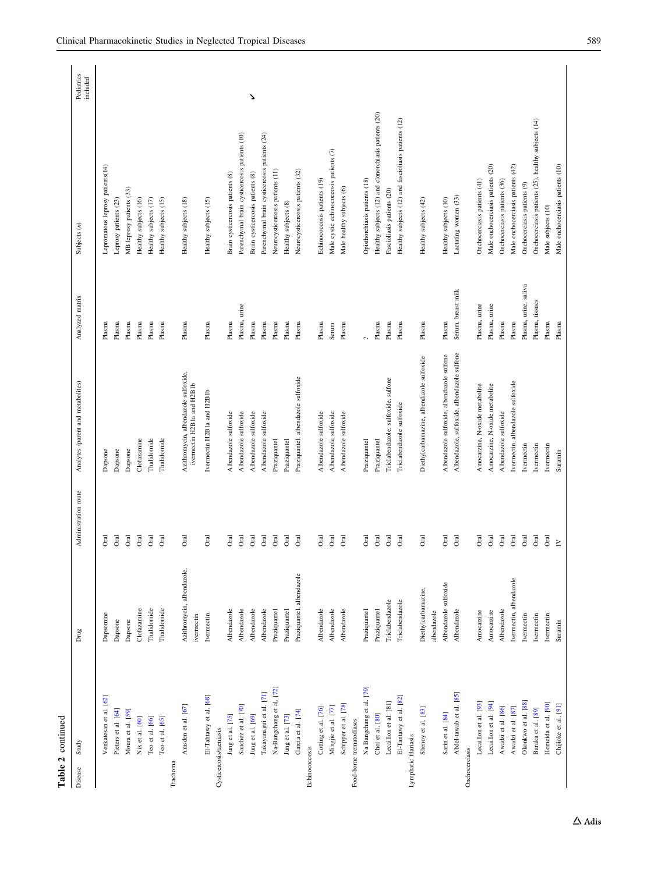| Disease                | Study                    | Drug                                     | Administration route | Analytes (parent and metabolites)                                  | Analyzed matrix       | Subjects $(n)$                                        | Pediatrics<br>included |
|------------------------|--------------------------|------------------------------------------|----------------------|--------------------------------------------------------------------|-----------------------|-------------------------------------------------------|------------------------|
|                        | Venkatesan et al. [62]   | Dapsomine                                | Oral                 | Dapsone                                                            | Plasma                | Lepromatous leprosy patients(14)                      |                        |
|                        | Pieters et al. [64]      | Dapsone                                  | Oral                 | Dapsone                                                            | Plasma                | Leprosy patients (23)                                 |                        |
|                        | Moura et al. [59]        | Dapsone                                  | Oral                 | Dapsone                                                            | Plasma                | MB leprosy patients (33)                              |                        |
|                        | Nix et al. [60]          | Clofazamine                              | Oral                 | Clofazamine                                                        | Plasma                | Healthy subjects (16)                                 |                        |
|                        | Teo et al. [66]          | Thalidomide                              | Oral                 | Thalidomide                                                        | Plasma                | Healthy subjects (17)                                 |                        |
|                        | Teo et al. [65]          | Thalidomide                              | Oral                 | Thalidomide                                                        | Plasma                | Healthy subjects (15)                                 |                        |
| Trachoma               |                          |                                          |                      |                                                                    |                       |                                                       |                        |
|                        | Amsden et al. [67]       | Azithromycin, albendazole,<br>ivernectin | Oral                 | Azithromycin, albendazole sulfoxide,<br>ivermectin H2B1a and H2B1b | Plasma                | Healthy subjects (18)                                 |                        |
|                        | El-Tahtawy et al. [68]   | Ivernectin                               | Oral                 | Ivermectin H2B1a and H2B1b                                         | Plasma                | Healthy subjects (15)                                 |                        |
| Cysticercosis/taemasis |                          |                                          |                      |                                                                    |                       |                                                       |                        |
|                        | Jung et al. [75]         | Albendazole                              | Oral                 | Albendazole sulfoxide                                              | Plasma                | Brain cysticercosis patients (8)                      |                        |
|                        | Sanchez et al. [70]      | Albendazole                              | <b>Oral</b>          | Albendazole sulfoxide                                              | Plasma, urine         | Parenchymal brain cysticercosis patients (10)         |                        |
|                        | Jung et al. [69]         | Albendazole                              | Oral                 | Albendazole sulfoxide                                              | Plasma                | 7<br>Brain cysticercosis patients (8)                 |                        |
|                        | Takayanagui et al. [71]  | Albendazole                              | Oral                 | Albendazole sulfoxide                                              | Plasma                | Parenchymal brain cysticercosis patients (24)         |                        |
|                        | Na-Bangchang et al. [72] | Praziquantel                             | Oral                 | Praziquantel                                                       | Plasma                | Neurocysticercosis patients (11)                      |                        |
|                        | Jung et al. [73]         | Praziquantel                             | Oral                 | Praziquantel                                                       | Plasma                | Healthy subjects (8)                                  |                        |
|                        | Garcia et al. [74]       | Praziquantel, albendazole                | Oral                 | Praziquantel, albendazole sulfoxide                                | Plasma                | Neurocysticercosis patients (32)                      |                        |
| Echinococcosis         |                          |                                          |                      |                                                                    |                       |                                                       |                        |
|                        | Cotting et al. [76]      | Albendazole                              | Oral                 | Albendazole sulfoxide                                              | Plasma                | Echinococcosis patients (19)                          |                        |
|                        | Mingjie et al. [77]      | Albendazole                              | Oral                 | Albendazole sulfoxide                                              | Serum                 | Male cystic echinococcosis patients (7)               |                        |
|                        | Schipper et al. [78]     | Albendazole                              | Oral                 | Albendazole sulfoxide                                              | Plasma                | Male healthy subjects (6)                             |                        |
|                        | Food-borne trematodiases |                                          |                      |                                                                    |                       |                                                       |                        |
|                        | Na Bangchang et al. [79] | Praziquantel                             | <b>Oral</b>          | Praziquantel                                                       | ç.                    | Opisthorchiasis patients (18)                         |                        |
|                        | Choi et al. [80]         | Praziquantel                             | Oral                 | Praziquantel                                                       | Plasma                | Healthy subjects (12) and clonorchiasis patients (20) |                        |
|                        | Lecaillon et al. [81]    | Triclabendazole                          | Oral                 | Triclabendazole, sulfoxide, sulfone                                | Plasma                | Fascioliasis patients (20)                            |                        |
|                        | El-Tantawy et al. [82]   | Triclabendazole                          | Oral                 | Triclabendazole sulfoxide                                          | Plasma                | Healthy subjects (12) and fascioliasis patients (12)  |                        |
| Lymphatic filariasis   |                          |                                          |                      |                                                                    |                       |                                                       |                        |
|                        | Shenoy et al. [83]       | Diethylcarbamazine,                      | <b>Oral</b>          | Diethylcarbamazine, albendazole sulfoxide                          | Plasma                | Healthy subjects (42)                                 |                        |
|                        |                          | albendazole                              |                      |                                                                    |                       |                                                       |                        |
|                        | Sarin et al. [84]        | Albendazole sulfoxide                    | <b>Oral</b>          | Albendazole sulfoxide, albendazole sulfone                         | Plasma                | Healthy subjects (10)                                 |                        |
|                        | Abdel-tawab et al. [85]  | Albendazole                              | <b>Oral</b>          | Albendazole, sulfoxide, albendazole sulfone                        | Serum, breast milk    | Lactating women (33)                                  |                        |
| Onchocerciasis         |                          |                                          |                      |                                                                    |                       |                                                       |                        |
|                        | Lecaillon et al. [93]    | Amocarzine                               | Oral                 | Amocarzine, N-oxide metabolite                                     | Plasma, urine         | Onchocerciasis patients (41)                          |                        |
|                        | Lecaillon et al. [94]    | Amocarzine                               | Oral                 | Amocarzine, N-oxide metabolite                                     | Plasma, urine         | Male onchocerciasis patients (20)                     |                        |
|                        | Awadzi et al. [86]       | Albendazole                              | Oral                 | Albendazole sulfoxide                                              | Plasma                | Onchocerciasis patients (36)                          |                        |
|                        | Awadzi et al. [87]       | Ivermectin, albendazole                  | Oral                 | Ivermectin, albendazole sulfoxide                                  | Plasma                | Male onchocerciasis patients (42)                     |                        |
|                        | Okonkwo et al. [88]      | Ivernectin                               | Oral                 | Ivernectin                                                         | Plasma, urine, saliva | Onchocerciasis patients (9)                           |                        |
|                        | Baraka et al. [89]       | Ivernectin                               | Oral                 | Ivernectin                                                         | Plasma, tissues       | Onchocerciasis patients (25), healthy subjects (14)   |                        |
|                        | Homeida et al. [90]      | Ivernectin                               | Oral                 | Ivernectin                                                         | Plasma                | Male subjects (10)                                    |                        |
|                        | Chijioke et al. [91]     | Suramin                                  | $\geq$               | Suramin                                                            | $\mathbf{Plasma}$     | Male onchocerciasis patients (10)                     |                        |
|                        |                          |                                          |                      |                                                                    |                       |                                                       |                        |

Table 2 continued

Table 2 continued

 $\Delta$ Adis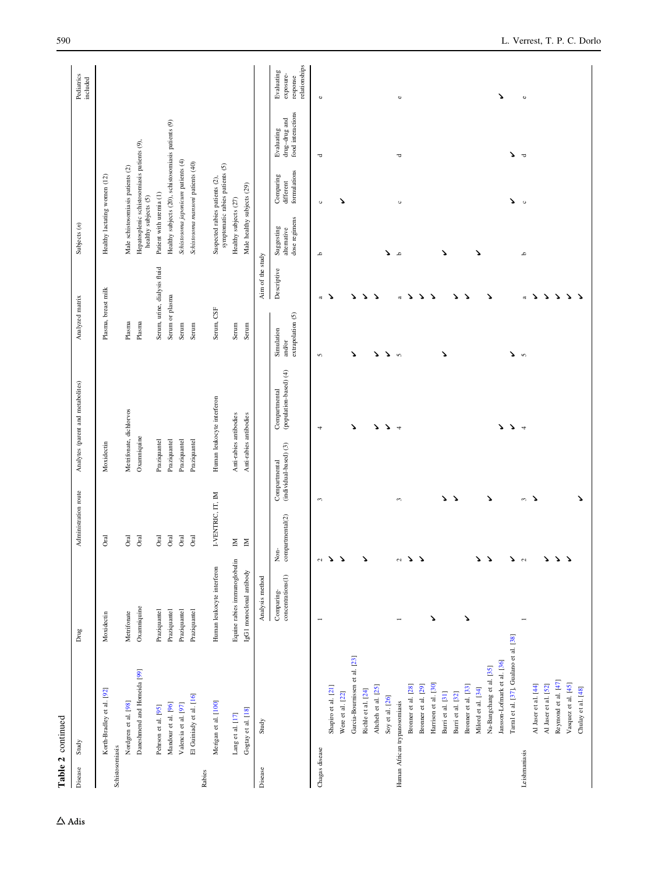|                 | Table 2 continued                       |                                              |                                                                           |                                         |                                                     |                                           |                              |                                            |                                                     |                                                  |                                                      |
|-----------------|-----------------------------------------|----------------------------------------------|---------------------------------------------------------------------------|-----------------------------------------|-----------------------------------------------------|-------------------------------------------|------------------------------|--------------------------------------------|-----------------------------------------------------|--------------------------------------------------|------------------------------------------------------|
| Disease         | Study                                   | Drug                                         | Administration route                                                      |                                         | Analytes (parent and metabolites)                   | Analyzed matrix                           |                              | Subjects (n)                               |                                                     |                                                  | Pediatrics<br>included                               |
| Schistosomiasis | Korth-Bradley et al. [92]               | Moxidectin                                   | Oral                                                                      | Moxidectin                              |                                                     | Plasma, breast milk                       |                              | Healthy lactating women (12)               |                                                     |                                                  |                                                      |
|                 | Nordgren et al. [98]                    | Metrifonate                                  | Oral                                                                      |                                         | Metrifonate, dichlorvos                             | Plasma                                    |                              | Male schistosomiasis patients (2)          |                                                     |                                                  |                                                      |
|                 | Daneshmend and Homeida <sup>[99]</sup>  | Oxamniquine                                  | Oral                                                                      | Oxamniquine                             |                                                     | Plasma                                    |                              | healthy subjects (5)                       | Hepatosplenic schistosomiasis patients (9),         |                                                  |                                                      |
|                 | Pehrson et al. [95]                     | Praziquantel                                 | <b>Oral</b>                                                               | Praziquantel                            |                                                     |                                           | Serum, urine, dialysis fluid | Patient with uremia (1)                    |                                                     |                                                  |                                                      |
|                 | Mandour et al. [96]                     | Praziquantel                                 | <b>Oral</b>                                                               | Praziquantel                            |                                                     | Serum or plasma                           |                              |                                            | Healthy subjects (20), schistosomiasis patients (9) |                                                  |                                                      |
|                 | Valencia et al. [97]                    | Praziquantel                                 | <b>Oral</b>                                                               | Praziquantel                            |                                                     | Serum                                     |                              |                                            | Schistosoma japonicum patients (4)                  |                                                  |                                                      |
|                 | El Guiniady et al. [16]                 | Praziquantel                                 | <b>Oral</b>                                                               | Praziquantel                            |                                                     | Serum                                     |                              |                                            | Schistosoma mansoni patients (40)                   |                                                  |                                                      |
| Rabies          | Merigan et al. [100]                    | Human leukocyte interferon                   | I-VENTRIC, IT, IM                                                         |                                         | Human leukocyte interferon                          | Serum, CSF                                |                              | Suspected rabies patients (2),             | symptomatic rabies patients (5)                     |                                                  |                                                      |
|                 | Lang et al. $[17]$                      | Equine rabies immunoglobulin                 | Σ                                                                         | Anti-rabies antibodies                  |                                                     | Serum                                     |                              | Healthy subjects (27)                      |                                                     |                                                  |                                                      |
|                 | Gogtay et al. [18]                      | IgG1 monoclonal antibody                     | Σ                                                                         | Anti-rabies antibodies                  |                                                     | Serum                                     |                              | Male healthy subjects (29)                 |                                                     |                                                  |                                                      |
| Disease         | Study                                   | Analysis method                              |                                                                           |                                         |                                                     |                                           | Aim of the study             |                                            |                                                     |                                                  |                                                      |
|                 |                                         | $Comparing -\footnotesize{concentration(1)}$ | $\begin{array}{ll} \text{Non-}\\ \text{comparimensional} (2) \end{array}$ | (individual-based) (3)<br>Compartmental | (population-based) (4)<br>Compartmental             | extrapolation (5)<br>Simulation<br>and/or | Descriptive                  | dose regimens<br>Suggesting<br>alternative | formulations<br>Comparing<br>different              | food interactions<br>drug-drug and<br>Evaluating | relationships<br>Evaluating<br>exposure-<br>response |
| Chagas disease  |                                         |                                              | $\sim$                                                                    | $\sim$                                  | 4                                                   | 5                                         | ಡ                            | م                                          | $\circ$                                             | Δ                                                | $\circ$                                              |
|                 | Shapiro et al. [21]                     |                                              | $\sqrt{2}$                                                                |                                         |                                                     |                                           | ↘                            |                                            |                                                     |                                                  |                                                      |
|                 | Were et al. [22]                        |                                              |                                                                           |                                         |                                                     |                                           |                              |                                            | ↘                                                   |                                                  |                                                      |
|                 | Garcia-Bournissen et al. [23]           |                                              |                                                                           |                                         | ↘                                                   | ↘                                         | 7                            |                                            |                                                     |                                                  |                                                      |
|                 | Richle et al. [24]                      |                                              | `                                                                         |                                         |                                                     |                                           | ↘                            |                                            |                                                     |                                                  |                                                      |
|                 | Altcheh et al. [25]                     |                                              |                                                                           |                                         | 7                                                   | ↘                                         | <u>ر</u>                     |                                            |                                                     |                                                  |                                                      |
|                 | Soy et al. [26]                         |                                              |                                                                           |                                         | 7                                                   | $\bm{z}$ $\approx$                        |                              | م د                                        |                                                     |                                                  |                                                      |
|                 | Human African trypanosomiasis           |                                              |                                                                           | 3                                       | $\overline{4}$                                      |                                           | a                            |                                            | $\circ$                                             | $\overline{\phantom{a}}$                         | $\bullet$                                            |
|                 | Bronner et al. [28]                     |                                              | $\sim$ $\sim$ $\sim$                                                      |                                         |                                                     |                                           | ↘                            |                                            |                                                     |                                                  |                                                      |
|                 | Bromer et al. [29]                      |                                              |                                                                           |                                         |                                                     |                                           | ↘                            |                                            |                                                     |                                                  |                                                      |
|                 | Harrison et al. [30]                    | `                                            |                                                                           |                                         |                                                     |                                           | `                            |                                            |                                                     |                                                  |                                                      |
|                 | Buri et al. [31]                        |                                              |                                                                           | 17                                      |                                                     | ↘                                         |                              | ↘                                          |                                                     |                                                  |                                                      |
|                 | Burri et al. [32]                       |                                              |                                                                           |                                         |                                                     |                                           | ↘                            |                                            |                                                     |                                                  |                                                      |
|                 | Bronner et al. [33]                     | ٧                                            |                                                                           |                                         |                                                     |                                           | ↘                            |                                            |                                                     |                                                  |                                                      |
|                 | Milord et al. [34]                      |                                              | $\sqrt{2}$                                                                |                                         |                                                     |                                           |                              | 7                                          |                                                     |                                                  |                                                      |
|                 | Na-Bangchang et al. [35]                |                                              |                                                                           | 7                                       |                                                     |                                           | ↘                            |                                            |                                                     |                                                  |                                                      |
|                 | Jansson-Lofmark et al. [36]             |                                              |                                                                           |                                         | ↘                                                   |                                           |                              |                                            |                                                     |                                                  | ↘                                                    |
| Leishmaniasis   | Tarral et al. [37], Gualano et al. [38] |                                              | $\sum_{i=1}^n a_i$                                                        |                                         | $\boldsymbol{\epsilon}$<br>$\overline{\phantom{a}}$ | ↘<br>$\sim$                               |                              | م                                          | ↘<br>$\circ$                                        | ↘<br>$\overline{\phantom{a}}$                    | $\bullet$                                            |
|                 | Al Jaser et al. [44]                    |                                              |                                                                           | ∾ >                                     |                                                     |                                           | `<br>a                       |                                            |                                                     |                                                  |                                                      |
|                 | Al Jaser et al. [52]                    |                                              |                                                                           |                                         |                                                     |                                           | ↘                            |                                            |                                                     |                                                  |                                                      |
|                 | Reymond et al. [47]                     |                                              | $\sqrt{2}$                                                                |                                         |                                                     |                                           | ↘                            |                                            |                                                     |                                                  |                                                      |
|                 | Vasquez et al. [45]                     |                                              |                                                                           |                                         |                                                     |                                           | 7                            |                                            |                                                     |                                                  |                                                      |
|                 | Chulay et al. [48]                      |                                              |                                                                           | ٧                                       |                                                     |                                           | <u>ر</u>                     |                                            |                                                     |                                                  |                                                      |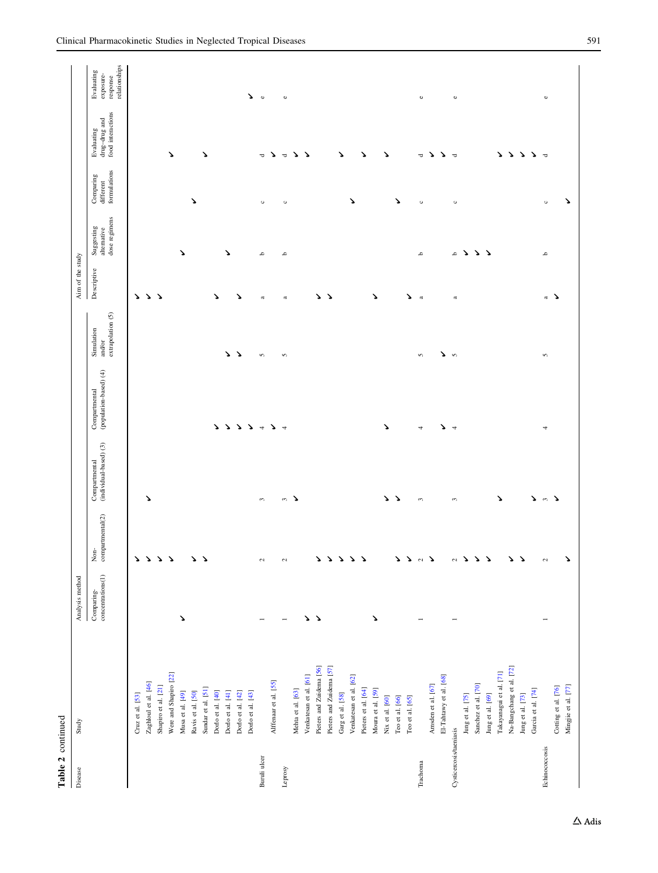| Were and Shapiro [22]<br>Zaghloul et al. [46]<br>Shapiro et al. [21]<br>Sundar et al. [51]<br>Dorlo et al. [40]<br>Dorlo et al. [41]<br>Dorlo et al. [42]<br>Musa et al. [49]<br>Ravis et al. [50]<br>Cruz et al. [53]<br>Study<br>Disease | concentrations(1)<br>Analysis method<br>$Comparing-$ |                                                |                                         |                                         |                                           |                       |                                            |                                             |                                                   |                                                      |
|--------------------------------------------------------------------------------------------------------------------------------------------------------------------------------------------------------------------------------------------|------------------------------------------------------|------------------------------------------------|-----------------------------------------|-----------------------------------------|-------------------------------------------|-----------------------|--------------------------------------------|---------------------------------------------|---------------------------------------------------|------------------------------------------------------|
|                                                                                                                                                                                                                                            |                                                      |                                                |                                         |                                         |                                           | Aim of the study      |                                            |                                             |                                                   |                                                      |
|                                                                                                                                                                                                                                            |                                                      | $\mbox{Non-}\atop \mbox{comparimensional} (2)$ | (individual-based) (3)<br>Compartmental | (population-based) (4)<br>Compartmental | extrapolation (5)<br>Simulation<br>and/or | Descriptive           | dose regimens<br>Suggesting<br>alternative | formulations<br>Comparing<br>$differential$ | food interactions<br>$dmg-drug$ and<br>Evaluating | relationships<br>Evaluating<br>exposure-<br>response |
|                                                                                                                                                                                                                                            |                                                      |                                                |                                         |                                         |                                           | ↘                     |                                            |                                             |                                                   |                                                      |
|                                                                                                                                                                                                                                            |                                                      |                                                | ↘                                       |                                         |                                           | $\blacktriangleright$ |                                            |                                             |                                                   |                                                      |
|                                                                                                                                                                                                                                            |                                                      | 2, 2, 2, 2                                     |                                         |                                         |                                           | $\rightarrow$         |                                            |                                             |                                                   |                                                      |
|                                                                                                                                                                                                                                            |                                                      |                                                |                                         |                                         |                                           |                       |                                            |                                             | ↘                                                 |                                                      |
|                                                                                                                                                                                                                                            | 7                                                    |                                                |                                         |                                         |                                           |                       | ۷                                          |                                             |                                                   |                                                      |
|                                                                                                                                                                                                                                            |                                                      | $\sqrt{2}$                                     |                                         |                                         |                                           |                       |                                            | ↘                                           |                                                   |                                                      |
|                                                                                                                                                                                                                                            |                                                      |                                                |                                         |                                         |                                           |                       |                                            |                                             | `                                                 |                                                      |
|                                                                                                                                                                                                                                            |                                                      |                                                |                                         | ↘                                       |                                           | ↘                     |                                            |                                             |                                                   |                                                      |
|                                                                                                                                                                                                                                            |                                                      |                                                |                                         | $\blacktriangleright$                   | , ,                                       |                       | 7                                          |                                             |                                                   |                                                      |
|                                                                                                                                                                                                                                            |                                                      |                                                |                                         | <b>&gt;</b>                             |                                           | ↘                     |                                            |                                             |                                                   |                                                      |
| Dorlo et al. [43]                                                                                                                                                                                                                          |                                                      |                                                |                                         | $\blacktriangleright$                   |                                           |                       |                                            |                                             |                                                   | ↘                                                    |
| Buruli ulcer                                                                                                                                                                                                                               | $\overline{\phantom{0}}$                             | $\mathfrak{c}$                                 | $\sim$                                  | 4                                       | 5                                         | $\approx$             | م                                          | $\circ$                                     | d                                                 | $\bullet$                                            |
| Alffenaar et al. [55]                                                                                                                                                                                                                      |                                                      |                                                |                                         | `                                       |                                           |                       |                                            |                                             | <b>۱</b>                                          |                                                      |
| Leprosy                                                                                                                                                                                                                                    | $\overline{a}$                                       | $\sim$                                         |                                         | $\overline{4}$                          | 5                                         | $\varpi$              | م                                          | $\circ$                                     | $\texttt{\texttt{v}}$                             | $\mathbb O$                                          |
| Mehta et al. [63]                                                                                                                                                                                                                          |                                                      |                                                | $\sim$ )                                |                                         |                                           |                       |                                            |                                             | 17                                                |                                                      |
| Venkatesan et al. [61]                                                                                                                                                                                                                     |                                                      |                                                |                                         |                                         |                                           |                       |                                            |                                             |                                                   |                                                      |
| Pieters and Zuidema [56]                                                                                                                                                                                                                   | 17                                                   | 7                                              |                                         |                                         |                                           | , ,                   |                                            |                                             |                                                   |                                                      |
| Pieters and Zuidema [57]                                                                                                                                                                                                                   |                                                      | $\blacktriangleright$                          |                                         |                                         |                                           |                       |                                            |                                             |                                                   |                                                      |
| Garg et al. [58]                                                                                                                                                                                                                           |                                                      | 3/2/2                                          |                                         |                                         |                                           |                       |                                            |                                             | 7                                                 |                                                      |
| Venkatesan et al. [62]                                                                                                                                                                                                                     |                                                      |                                                |                                         |                                         |                                           |                       |                                            | 7                                           |                                                   |                                                      |
| Pieters et al. [64]                                                                                                                                                                                                                        |                                                      |                                                |                                         |                                         |                                           |                       |                                            |                                             | 7                                                 |                                                      |
| Moura et al. [59]                                                                                                                                                                                                                          | ↘                                                    |                                                |                                         |                                         |                                           | ↘                     |                                            |                                             |                                                   |                                                      |
| Nix et al. [60]                                                                                                                                                                                                                            |                                                      |                                                |                                         | ٧                                       |                                           |                       |                                            |                                             | ↘                                                 |                                                      |
| Teo et al. [66]                                                                                                                                                                                                                            |                                                      |                                                | 17                                      |                                         |                                           |                       |                                            | ↘                                           |                                                   |                                                      |
| Teo et al. [65]                                                                                                                                                                                                                            |                                                      | 17                                             |                                         |                                         |                                           | ↘                     |                                            |                                             |                                                   |                                                      |
| Trachoma                                                                                                                                                                                                                                   |                                                      | $\sim$ $\Delta$                                | $\epsilon$                              | 4                                       | $\mathbf{\hat{c}}$                        | ್ಷ                    | م                                          | $\circ$                                     | $\overline{\phantom{a}}$                          | $\mathbb O$                                          |
| Amsden et al. [67]                                                                                                                                                                                                                         |                                                      |                                                |                                         |                                         |                                           |                       |                                            |                                             | <u>ر</u>                                          |                                                      |
| El-Tahtawy et al. [68]                                                                                                                                                                                                                     |                                                      |                                                |                                         | ↘                                       | ১∽                                        |                       |                                            |                                             | 7                                                 |                                                      |
| Cysticercosis/taeniasis                                                                                                                                                                                                                    |                                                      | $\sim$                                         | $\epsilon$                              | $\overline{4}$                          |                                           | $\approx$             | م                                          | $\circ$                                     | ಾ                                                 | $\mathbb O$                                          |
| Jung et al. [75]                                                                                                                                                                                                                           |                                                      | 7                                              |                                         |                                         |                                           |                       | λ,                                         |                                             |                                                   |                                                      |
| Sanchez et al. [70]                                                                                                                                                                                                                        |                                                      | $\sqrt{2}$                                     |                                         |                                         |                                           |                       | 17                                         |                                             |                                                   |                                                      |
| Jung et al. [69]                                                                                                                                                                                                                           |                                                      |                                                |                                         |                                         |                                           |                       |                                            |                                             |                                                   |                                                      |
| Takayanagui et al. [71]                                                                                                                                                                                                                    |                                                      |                                                | $\blacktriangleright$                   |                                         |                                           |                       |                                            |                                             | ↘                                                 |                                                      |
| Na-Bangchang et al. [72]                                                                                                                                                                                                                   |                                                      | $\sqrt{2}$                                     |                                         |                                         |                                           |                       |                                            |                                             | $\lambda$                                         |                                                      |
| $\rm{Jung}$ et al. $[73]$                                                                                                                                                                                                                  |                                                      |                                                |                                         |                                         |                                           |                       |                                            |                                             | 17                                                |                                                      |
| Garcia et al. [74]                                                                                                                                                                                                                         |                                                      |                                                |                                         |                                         |                                           |                       |                                            |                                             |                                                   |                                                      |
| Echinococcosis                                                                                                                                                                                                                             |                                                      | $\sim$                                         | $\sum w \equiv \sum$                    | 4                                       | $\sim$                                    | $\sim$ $\sim$         | $\mathrel{\mathtt{a}}$                     | $\circ$                                     | ಾ                                                 | $\mathbb O$                                          |
| Cotting et al. [76]                                                                                                                                                                                                                        |                                                      |                                                |                                         |                                         |                                           |                       |                                            |                                             |                                                   |                                                      |
| Mingjie et al. [77]                                                                                                                                                                                                                        |                                                      | ↘                                              |                                         |                                         |                                           |                       |                                            | ↘                                           |                                                   |                                                      |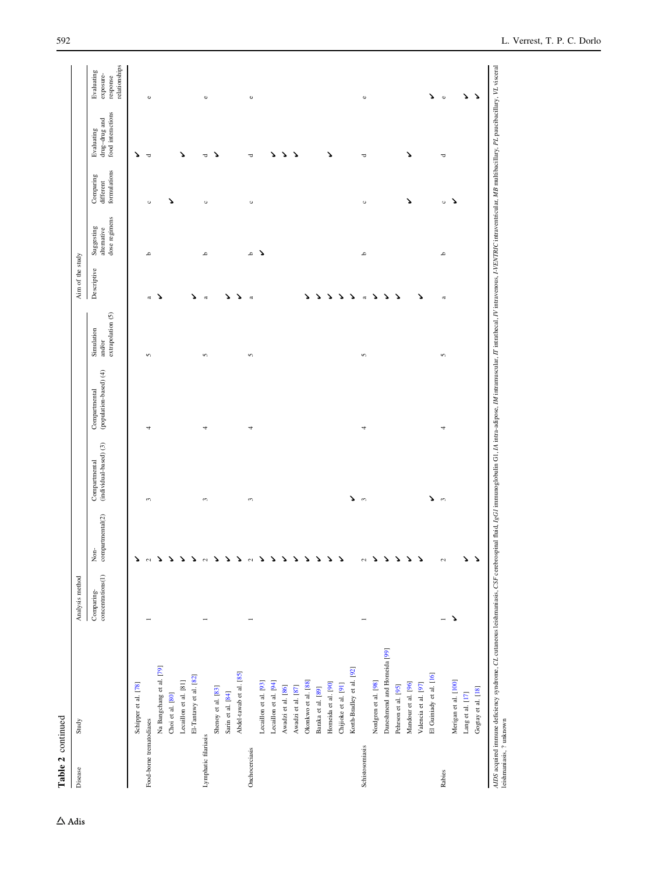| food interactions<br>drug-drug and<br>Evaluating<br>↘<br>7<br>↘<br>↘<br>↘<br>↘<br>↘<br>↘<br>$\overline{\phantom{a}}$<br>ℸ<br>Δ<br>Δ<br>ℸ<br>formulations<br>Comparing<br>different<br>↘<br>↘<br>$\circ$<br>↘<br>$\circ$<br>$\circ$<br>$\circ$<br>$\circ$<br>dose regimens<br>Suggesting<br>alternative<br>↘<br>م<br>م<br>م<br>م<br>م<br>Descriptive<br>↘<br>↘<br>↘<br>↘<br>Ľ<br>↘<br>↘<br>↘<br>↘<br>↘<br>$\sigma$<br>↘<br>$\approx$<br>$\approx$<br>$\mathfrak{a}$<br>ಡ<br>extrapolation (5)<br>Simulation<br>and/or<br>5<br>5<br>5<br>$\mathbf{r}$<br>5<br>(population-based) (4)<br>Compartmental<br>4<br>4<br>4<br>₹<br>4<br>(individual-based) (3)<br>Compartmental<br>7<br>↘<br>$\epsilon$<br>$\sim$<br>3<br>$\epsilon$<br>3<br>Non-<br>compartmental(2)<br>$\blacktriangleright$<br>$\blacktriangleright$<br>ゝ<br>↘<br>$\blacktriangleright$<br>$\mathbf{v}$<br>$\blacktriangleright$<br>$\blacktriangleright$<br>$\blacktriangleright$<br>ゝ<br>↘<br>$\overline{c}$<br>۷<br>$\sim$<br>↘<br>$\overline{\mathcal{L}}$<br>$\sim$<br>$\mathbf{\hat{c}}$<br>↘<br>↘<br>↘<br>↘<br>↘<br>↘<br>↘<br>↘<br>Comparing-<br>concentrations(1)<br>↘<br>Daneshmend and Homeida [99]<br>Na Bangchang et al. [79]<br>Korth-Bradley et al. [92]<br>Abdel-tawab et al. [85]<br>El Guiniady et al. [16]<br>El-Tantawy et al. [82]<br>Merigan et al. [100]<br>Nordgren et al. [98]<br>Okonkwo et al. [88]<br>Lecaillon et al. [81]<br>Lecaillon et al. [94]<br>Lecaillon et al. [93]<br>Homeida et al. [90]<br>Mandour et al. [96]<br>Schipper et al. [78]<br>Chijioke et al. [91]<br>Valencia et al. [97]<br>Awadzi et al. [86]<br>Pehrson et al. [95]<br>Awadzi et al. [87]<br>Baraka et al. [89]<br>Shenoy et al. [83]<br>Sarin et al. [84]<br>Lang et al. [17]<br>Choi et al. [80]<br>Food-borne trematodiases<br>Lymphatic filariasis<br>Schistosomiasis<br>Onchocerciasis<br>Rabies | Study<br>Disease | Analysis method |              |  | Aim of the study |  |                                                      |
|--------------------------------------------------------------------------------------------------------------------------------------------------------------------------------------------------------------------------------------------------------------------------------------------------------------------------------------------------------------------------------------------------------------------------------------------------------------------------------------------------------------------------------------------------------------------------------------------------------------------------------------------------------------------------------------------------------------------------------------------------------------------------------------------------------------------------------------------------------------------------------------------------------------------------------------------------------------------------------------------------------------------------------------------------------------------------------------------------------------------------------------------------------------------------------------------------------------------------------------------------------------------------------------------------------------------------------------------------------------------------------------------------------------------------------------------------------------------------------------------------------------------------------------------------------------------------------------------------------------------------------------------------------------------------------------------------------------------------------------------------------------------------------------------------------------------------------------------------------------------------|------------------|-----------------|--------------|--|------------------|--|------------------------------------------------------|
|                                                                                                                                                                                                                                                                                                                                                                                                                                                                                                                                                                                                                                                                                                                                                                                                                                                                                                                                                                                                                                                                                                                                                                                                                                                                                                                                                                                                                                                                                                                                                                                                                                                                                                                                                                                                                                                                          |                  |                 |              |  |                  |  | relationships<br>Evaluating<br>exposure-<br>response |
|                                                                                                                                                                                                                                                                                                                                                                                                                                                                                                                                                                                                                                                                                                                                                                                                                                                                                                                                                                                                                                                                                                                                                                                                                                                                                                                                                                                                                                                                                                                                                                                                                                                                                                                                                                                                                                                                          |                  |                 |              |  |                  |  |                                                      |
|                                                                                                                                                                                                                                                                                                                                                                                                                                                                                                                                                                                                                                                                                                                                                                                                                                                                                                                                                                                                                                                                                                                                                                                                                                                                                                                                                                                                                                                                                                                                                                                                                                                                                                                                                                                                                                                                          |                  |                 |              |  |                  |  | $\circ$                                              |
|                                                                                                                                                                                                                                                                                                                                                                                                                                                                                                                                                                                                                                                                                                                                                                                                                                                                                                                                                                                                                                                                                                                                                                                                                                                                                                                                                                                                                                                                                                                                                                                                                                                                                                                                                                                                                                                                          |                  |                 |              |  |                  |  |                                                      |
|                                                                                                                                                                                                                                                                                                                                                                                                                                                                                                                                                                                                                                                                                                                                                                                                                                                                                                                                                                                                                                                                                                                                                                                                                                                                                                                                                                                                                                                                                                                                                                                                                                                                                                                                                                                                                                                                          |                  |                 |              |  |                  |  |                                                      |
|                                                                                                                                                                                                                                                                                                                                                                                                                                                                                                                                                                                                                                                                                                                                                                                                                                                                                                                                                                                                                                                                                                                                                                                                                                                                                                                                                                                                                                                                                                                                                                                                                                                                                                                                                                                                                                                                          |                  |                 |              |  |                  |  |                                                      |
|                                                                                                                                                                                                                                                                                                                                                                                                                                                                                                                                                                                                                                                                                                                                                                                                                                                                                                                                                                                                                                                                                                                                                                                                                                                                                                                                                                                                                                                                                                                                                                                                                                                                                                                                                                                                                                                                          |                  |                 |              |  |                  |  |                                                      |
|                                                                                                                                                                                                                                                                                                                                                                                                                                                                                                                                                                                                                                                                                                                                                                                                                                                                                                                                                                                                                                                                                                                                                                                                                                                                                                                                                                                                                                                                                                                                                                                                                                                                                                                                                                                                                                                                          |                  |                 |              |  |                  |  | $\circ$                                              |
|                                                                                                                                                                                                                                                                                                                                                                                                                                                                                                                                                                                                                                                                                                                                                                                                                                                                                                                                                                                                                                                                                                                                                                                                                                                                                                                                                                                                                                                                                                                                                                                                                                                                                                                                                                                                                                                                          |                  |                 |              |  |                  |  |                                                      |
|                                                                                                                                                                                                                                                                                                                                                                                                                                                                                                                                                                                                                                                                                                                                                                                                                                                                                                                                                                                                                                                                                                                                                                                                                                                                                                                                                                                                                                                                                                                                                                                                                                                                                                                                                                                                                                                                          |                  |                 |              |  |                  |  |                                                      |
|                                                                                                                                                                                                                                                                                                                                                                                                                                                                                                                                                                                                                                                                                                                                                                                                                                                                                                                                                                                                                                                                                                                                                                                                                                                                                                                                                                                                                                                                                                                                                                                                                                                                                                                                                                                                                                                                          |                  |                 |              |  |                  |  |                                                      |
|                                                                                                                                                                                                                                                                                                                                                                                                                                                                                                                                                                                                                                                                                                                                                                                                                                                                                                                                                                                                                                                                                                                                                                                                                                                                                                                                                                                                                                                                                                                                                                                                                                                                                                                                                                                                                                                                          |                  |                 |              |  |                  |  | $\circ$                                              |
|                                                                                                                                                                                                                                                                                                                                                                                                                                                                                                                                                                                                                                                                                                                                                                                                                                                                                                                                                                                                                                                                                                                                                                                                                                                                                                                                                                                                                                                                                                                                                                                                                                                                                                                                                                                                                                                                          |                  |                 |              |  |                  |  |                                                      |
|                                                                                                                                                                                                                                                                                                                                                                                                                                                                                                                                                                                                                                                                                                                                                                                                                                                                                                                                                                                                                                                                                                                                                                                                                                                                                                                                                                                                                                                                                                                                                                                                                                                                                                                                                                                                                                                                          |                  |                 |              |  |                  |  |                                                      |
|                                                                                                                                                                                                                                                                                                                                                                                                                                                                                                                                                                                                                                                                                                                                                                                                                                                                                                                                                                                                                                                                                                                                                                                                                                                                                                                                                                                                                                                                                                                                                                                                                                                                                                                                                                                                                                                                          |                  |                 |              |  |                  |  |                                                      |
|                                                                                                                                                                                                                                                                                                                                                                                                                                                                                                                                                                                                                                                                                                                                                                                                                                                                                                                                                                                                                                                                                                                                                                                                                                                                                                                                                                                                                                                                                                                                                                                                                                                                                                                                                                                                                                                                          |                  |                 |              |  |                  |  |                                                      |
|                                                                                                                                                                                                                                                                                                                                                                                                                                                                                                                                                                                                                                                                                                                                                                                                                                                                                                                                                                                                                                                                                                                                                                                                                                                                                                                                                                                                                                                                                                                                                                                                                                                                                                                                                                                                                                                                          |                  |                 |              |  |                  |  |                                                      |
|                                                                                                                                                                                                                                                                                                                                                                                                                                                                                                                                                                                                                                                                                                                                                                                                                                                                                                                                                                                                                                                                                                                                                                                                                                                                                                                                                                                                                                                                                                                                                                                                                                                                                                                                                                                                                                                                          |                  |                 |              |  |                  |  |                                                      |
|                                                                                                                                                                                                                                                                                                                                                                                                                                                                                                                                                                                                                                                                                                                                                                                                                                                                                                                                                                                                                                                                                                                                                                                                                                                                                                                                                                                                                                                                                                                                                                                                                                                                                                                                                                                                                                                                          |                  |                 |              |  |                  |  |                                                      |
|                                                                                                                                                                                                                                                                                                                                                                                                                                                                                                                                                                                                                                                                                                                                                                                                                                                                                                                                                                                                                                                                                                                                                                                                                                                                                                                                                                                                                                                                                                                                                                                                                                                                                                                                                                                                                                                                          |                  |                 |              |  |                  |  |                                                      |
|                                                                                                                                                                                                                                                                                                                                                                                                                                                                                                                                                                                                                                                                                                                                                                                                                                                                                                                                                                                                                                                                                                                                                                                                                                                                                                                                                                                                                                                                                                                                                                                                                                                                                                                                                                                                                                                                          |                  |                 |              |  |                  |  |                                                      |
|                                                                                                                                                                                                                                                                                                                                                                                                                                                                                                                                                                                                                                                                                                                                                                                                                                                                                                                                                                                                                                                                                                                                                                                                                                                                                                                                                                                                                                                                                                                                                                                                                                                                                                                                                                                                                                                                          |                  |                 |              |  |                  |  | $\pmb{\circ}$                                        |
|                                                                                                                                                                                                                                                                                                                                                                                                                                                                                                                                                                                                                                                                                                                                                                                                                                                                                                                                                                                                                                                                                                                                                                                                                                                                                                                                                                                                                                                                                                                                                                                                                                                                                                                                                                                                                                                                          |                  |                 |              |  |                  |  |                                                      |
|                                                                                                                                                                                                                                                                                                                                                                                                                                                                                                                                                                                                                                                                                                                                                                                                                                                                                                                                                                                                                                                                                                                                                                                                                                                                                                                                                                                                                                                                                                                                                                                                                                                                                                                                                                                                                                                                          |                  |                 |              |  |                  |  |                                                      |
|                                                                                                                                                                                                                                                                                                                                                                                                                                                                                                                                                                                                                                                                                                                                                                                                                                                                                                                                                                                                                                                                                                                                                                                                                                                                                                                                                                                                                                                                                                                                                                                                                                                                                                                                                                                                                                                                          |                  |                 |              |  |                  |  |                                                      |
|                                                                                                                                                                                                                                                                                                                                                                                                                                                                                                                                                                                                                                                                                                                                                                                                                                                                                                                                                                                                                                                                                                                                                                                                                                                                                                                                                                                                                                                                                                                                                                                                                                                                                                                                                                                                                                                                          |                  |                 |              |  |                  |  |                                                      |
|                                                                                                                                                                                                                                                                                                                                                                                                                                                                                                                                                                                                                                                                                                                                                                                                                                                                                                                                                                                                                                                                                                                                                                                                                                                                                                                                                                                                                                                                                                                                                                                                                                                                                                                                                                                                                                                                          |                  |                 |              |  |                  |  |                                                      |
|                                                                                                                                                                                                                                                                                                                                                                                                                                                                                                                                                                                                                                                                                                                                                                                                                                                                                                                                                                                                                                                                                                                                                                                                                                                                                                                                                                                                                                                                                                                                                                                                                                                                                                                                                                                                                                                                          |                  |                 |              |  |                  |  | ↘                                                    |
|                                                                                                                                                                                                                                                                                                                                                                                                                                                                                                                                                                                                                                                                                                                                                                                                                                                                                                                                                                                                                                                                                                                                                                                                                                                                                                                                                                                                                                                                                                                                                                                                                                                                                                                                                                                                                                                                          |                  |                 |              |  |                  |  | $\circ$                                              |
|                                                                                                                                                                                                                                                                                                                                                                                                                                                                                                                                                                                                                                                                                                                                                                                                                                                                                                                                                                                                                                                                                                                                                                                                                                                                                                                                                                                                                                                                                                                                                                                                                                                                                                                                                                                                                                                                          |                  |                 |              |  |                  |  |                                                      |
|                                                                                                                                                                                                                                                                                                                                                                                                                                                                                                                                                                                                                                                                                                                                                                                                                                                                                                                                                                                                                                                                                                                                                                                                                                                                                                                                                                                                                                                                                                                                                                                                                                                                                                                                                                                                                                                                          |                  |                 |              |  |                  |  | ↘                                                    |
| Gogtay et al. [18]                                                                                                                                                                                                                                                                                                                                                                                                                                                                                                                                                                                                                                                                                                                                                                                                                                                                                                                                                                                                                                                                                                                                                                                                                                                                                                                                                                                                                                                                                                                                                                                                                                                                                                                                                                                                                                                       |                  |                 | $\mathbf{v}$ |  |                  |  | `                                                    |

AIDS acquired immune deficiency syndrome, CL cutaneous leistmaniasis, CSF cerebrospinal fluid, leG I immunoglobulin G1, IA intra-adipose, IM intrathecal, IV intrathecal, IV intratecular, APENTRIC intraventurelar, MB multib **ENTRI** ₹ lgUI AIDS acquired immune deficiency syndricishmaniasis, ? unknown leishmaniasis, ? unknown

Table 2 continued

 $\Delta$ Adis

Table 2 continued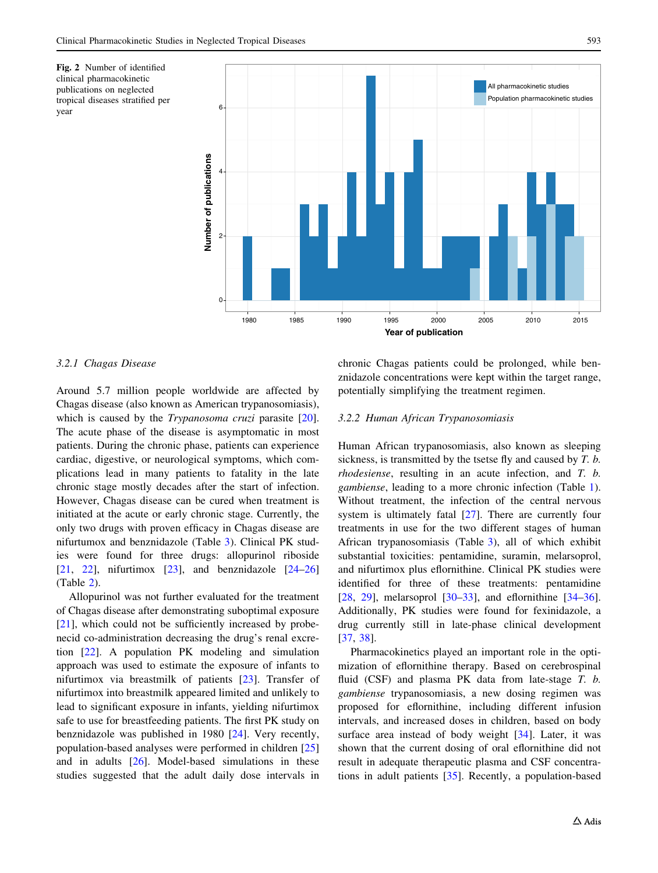<span id="page-10-0"></span>

**Year of publication**

#### 3.2.1 Chagas Disease

clinical pharmacokinetic

year

Around 5.7 million people worldwide are affected by Chagas disease (also known as American trypanosomiasis), which is caused by the *Trypanosoma cruzi* parasite [\[20](#page-20-0)]. The acute phase of the disease is asymptomatic in most patients. During the chronic phase, patients can experience cardiac, digestive, or neurological symptoms, which complications lead in many patients to fatality in the late chronic stage mostly decades after the start of infection. However, Chagas disease can be cured when treatment is initiated at the acute or early chronic stage. Currently, the only two drugs with proven efficacy in Chagas disease are nifurtumox and benznidazole (Table [3](#page-11-0)). Clinical PK studies were found for three drugs: allopurinol riboside  $[21, 22]$  $[21, 22]$  $[21, 22]$  $[21, 22]$ , nifurtimox  $[23]$  $[23]$ , and benznidazole  $[24-26]$ (Table [2](#page-5-0)).

Allopurinol was not further evaluated for the treatment of Chagas disease after demonstrating suboptimal exposure [\[21](#page-20-0)], which could not be sufficiently increased by probenecid co-administration decreasing the drug's renal excretion [[22\]](#page-20-0). A population PK modeling and simulation approach was used to estimate the exposure of infants to nifurtimox via breastmilk of patients [[23\]](#page-20-0). Transfer of nifurtimox into breastmilk appeared limited and unlikely to lead to significant exposure in infants, yielding nifurtimox safe to use for breastfeeding patients. The first PK study on benznidazole was published in 1980 [\[24](#page-21-0)]. Very recently, population-based analyses were performed in children [[25\]](#page-21-0) and in adults [\[26](#page-21-0)]. Model-based simulations in these studies suggested that the adult daily dose intervals in chronic Chagas patients could be prolonged, while benznidazole concentrations were kept within the target range, potentially simplifying the treatment regimen.

#### 3.2.2 Human African Trypanosomiasis

Human African trypanosomiasis, also known as sleeping sickness, is transmitted by the tsetse fly and caused by T. b. rhodesiense, resulting in an acute infection, and T. b. gambiense, leading to a more chronic infection (Table [1](#page-2-0)). Without treatment, the infection of the central nervous system is ultimately fatal [\[27](#page-21-0)]. There are currently four treatments in use for the two different stages of human African trypanosomiasis (Table [3\)](#page-11-0), all of which exhibit substantial toxicities: pentamidine, suramin, melarsoprol, and nifurtimox plus eflornithine. Clinical PK studies were identified for three of these treatments: pentamidine [\[28](#page-21-0), [29\]](#page-21-0), melarsoprol [[30–33\]](#page-21-0), and eflornithine [\[34–36](#page-21-0)]. Additionally, PK studies were found for fexinidazole, a drug currently still in late-phase clinical development [\[37](#page-21-0), [38](#page-21-0)].

Pharmacokinetics played an important role in the optimization of eflornithine therapy. Based on cerebrospinal fluid (CSF) and plasma PK data from late-stage T. b. gambiense trypanosomiasis, a new dosing regimen was proposed for eflornithine, including different infusion intervals, and increased doses in children, based on body surface area instead of body weight [[34\]](#page-21-0). Later, it was shown that the current dosing of oral eflornithine did not result in adequate therapeutic plasma and CSF concentrations in adult patients [[35](#page-21-0)]. Recently, a population-based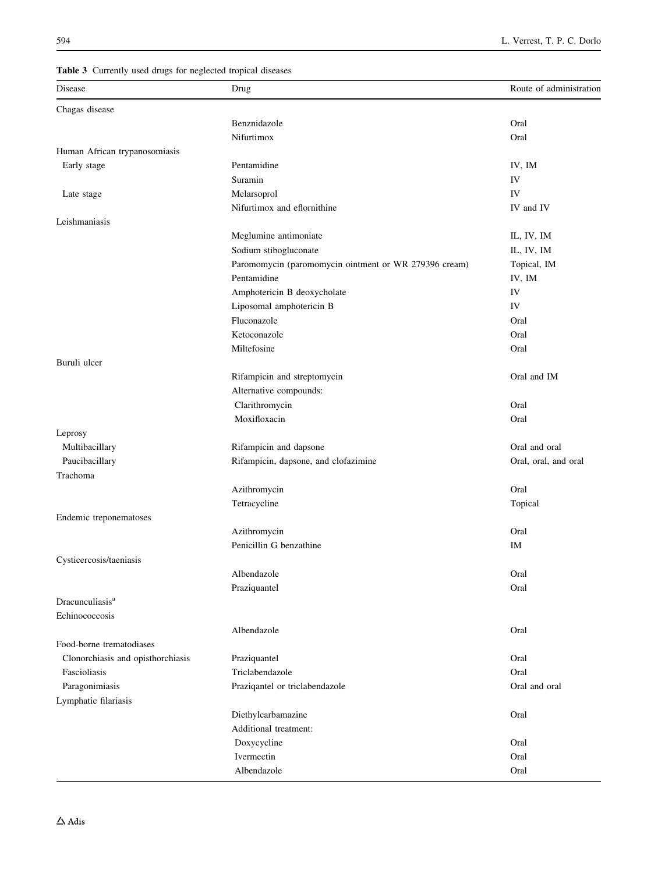<span id="page-11-0"></span>

| Disease                           | Drug                                                  | Route of administration |
|-----------------------------------|-------------------------------------------------------|-------------------------|
| Chagas disease                    |                                                       |                         |
|                                   | Benznidazole                                          | Oral                    |
|                                   | Nifurtimox                                            | Oral                    |
| Human African trypanosomiasis     |                                                       |                         |
| Early stage                       | Pentamidine                                           | IV, IM                  |
|                                   | Suramin                                               | IV                      |
| Late stage                        | Melarsoprol                                           | IV                      |
|                                   | Nifurtimox and eflornithine                           | IV and IV               |
| Leishmaniasis                     |                                                       |                         |
|                                   | Meglumine antimoniate                                 | IL, IV, IM              |
|                                   | Sodium stibogluconate                                 | IL, IV, IM              |
|                                   | Paromomycin (paromomycin ointment or WR 279396 cream) | Topical, IM             |
|                                   | Pentamidine                                           | IV, IM                  |
|                                   | Amphotericin B deoxycholate                           | IV                      |
|                                   | Liposomal amphotericin B                              | IV                      |
|                                   | Fluconazole                                           | Oral                    |
|                                   | Ketoconazole                                          | Oral                    |
|                                   | Miltefosine                                           | Oral                    |
| Buruli ulcer                      |                                                       |                         |
|                                   | Rifampicin and streptomycin                           | Oral and IM             |
|                                   | Alternative compounds:                                |                         |
|                                   | Clarithromycin                                        | Oral                    |
|                                   | Moxifloxacin                                          | Oral                    |
|                                   |                                                       |                         |
| Leprosy                           |                                                       |                         |
| Multibacillary                    | Rifampicin and dapsone                                | Oral and oral           |
| Paucibacillary                    | Rifampicin, dapsone, and clofazimine                  | Oral, oral, and oral    |
| Trachoma                          |                                                       |                         |
|                                   | Azithromycin                                          | Oral                    |
|                                   | Tetracycline                                          | Topical                 |
| Endemic treponematoses            |                                                       |                         |
|                                   | Azithromycin                                          | Oral                    |
|                                   | Penicillin G benzathine                               | IM                      |
| Cysticercosis/taeniasis           |                                                       |                         |
|                                   | Albendazole                                           | Oral                    |
|                                   | Praziquantel                                          | Oral                    |
| Dracunculiasis <sup>a</sup>       |                                                       |                         |
| Echinococcosis                    |                                                       |                         |
|                                   | Albendazole                                           | Oral                    |
| Food-borne trematodiases          |                                                       |                         |
| Clonorchiasis and opisthorchiasis | Praziquantel                                          | Oral                    |
| Fascioliasis                      | Triclabendazole                                       | Oral                    |
| Paragonimiasis                    | Praziqantel or triclabendazole                        | Oral and oral           |
| Lymphatic filariasis              |                                                       |                         |
|                                   | Diethylcarbamazine                                    | Oral                    |
|                                   | Additional treatment:                                 |                         |
|                                   | Doxycycline                                           | Oral                    |
|                                   | Ivermectin                                            | Oral                    |
|                                   | Albendazole                                           | Oral                    |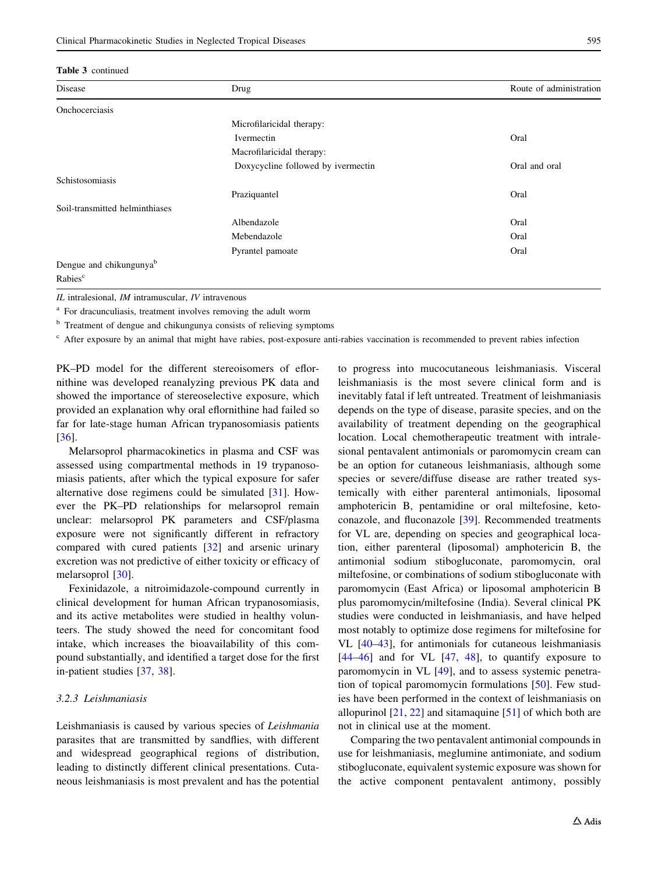| Table 3 continued                   |                                    |                         |
|-------------------------------------|------------------------------------|-------------------------|
| Disease                             | Drug                               | Route of administration |
| Onchocerciasis                      |                                    |                         |
|                                     | Microfilaricidal therapy:          |                         |
|                                     | Ivermectin                         | Oral                    |
|                                     | Macrofilaricidal therapy:          |                         |
|                                     | Doxycycline followed by ivermectin | Oral and oral           |
| Schistosomiasis                     |                                    |                         |
|                                     | Praziquantel                       | Oral                    |
| Soil-transmitted helminthiases      |                                    |                         |
|                                     | Albendazole                        | Oral                    |
|                                     | Mebendazole                        | Oral                    |
|                                     | Pyrantel pamoate                   | Oral                    |
| Dengue and chikungunya <sup>b</sup> |                                    |                         |
| Rabies <sup>c</sup>                 |                                    |                         |

 $IL$  intralesional,  $IM$  intramuscular,  $IV$  intravenous

<sup>a</sup> For dracunculiasis, treatment involves removing the adult worm

<sup>b</sup> Treatment of dengue and chikungunya consists of relieving symptoms

 $\degree$  After exposure by an animal that might have rabies, post-exposure anti-rabies vaccination is recommended to prevent rabies infection

PK–PD model for the different stereoisomers of eflornithine was developed reanalyzing previous PK data and showed the importance of stereoselective exposure, which provided an explanation why oral eflornithine had failed so far for late-stage human African trypanosomiasis patients [\[36](#page-21-0)].

Melarsoprol pharmacokinetics in plasma and CSF was assessed using compartmental methods in 19 trypanosomiasis patients, after which the typical exposure for safer alternative dose regimens could be simulated [[31\]](#page-21-0). However the PK–PD relationships for melarsoprol remain unclear: melarsoprol PK parameters and CSF/plasma exposure were not significantly different in refractory compared with cured patients [\[32](#page-21-0)] and arsenic urinary excretion was not predictive of either toxicity or efficacy of melarsoprol [[30](#page-21-0)].

Fexinidazole, a nitroimidazole-compound currently in clinical development for human African trypanosomiasis, and its active metabolites were studied in healthy volunteers. The study showed the need for concomitant food intake, which increases the bioavailability of this compound substantially, and identified a target dose for the first in-patient studies [\[37](#page-21-0), [38](#page-21-0)].

# 3.2.3 Leishmaniasis

Leishmaniasis is caused by various species of Leishmania parasites that are transmitted by sandflies, with different and widespread geographical regions of distribution, leading to distinctly different clinical presentations. Cutaneous leishmaniasis is most prevalent and has the potential to progress into mucocutaneous leishmaniasis. Visceral leishmaniasis is the most severe clinical form and is inevitably fatal if left untreated. Treatment of leishmaniasis depends on the type of disease, parasite species, and on the availability of treatment depending on the geographical location. Local chemotherapeutic treatment with intralesional pentavalent antimonials or paromomycin cream can be an option for cutaneous leishmaniasis, although some species or severe/diffuse disease are rather treated systemically with either parenteral antimonials, liposomal amphotericin B, pentamidine or oral miltefosine, ketoconazole, and fluconazole [\[39](#page-21-0)]. Recommended treatments for VL are, depending on species and geographical location, either parenteral (liposomal) amphotericin B, the antimonial sodium stibogluconate, paromomycin, oral miltefosine, or combinations of sodium stibogluconate with paromomycin (East Africa) or liposomal amphotericin B plus paromomycin/miltefosine (India). Several clinical PK studies were conducted in leishmaniasis, and have helped most notably to optimize dose regimens for miltefosine for VL [\[40–43](#page-21-0)], for antimonials for cutaneous leishmaniasis  $[44–46]$  $[44–46]$  and for VL  $[47, 48]$  $[47, 48]$  $[47, 48]$  $[47, 48]$ , to quantify exposure to paromomycin in VL [[49\]](#page-21-0), and to assess systemic penetration of topical paromomycin formulations [\[50\]](#page-21-0). Few studies have been performed in the context of leishmaniasis on allopurinol  $[21, 22]$  $[21, 22]$  $[21, 22]$  $[21, 22]$  and sitamaquine  $[51]$  $[51]$  of which both are not in clinical use at the moment.

Comparing the two pentavalent antimonial compounds in use for leishmaniasis, meglumine antimoniate, and sodium stibogluconate, equivalent systemic exposure was shown for the active component pentavalent antimony, possibly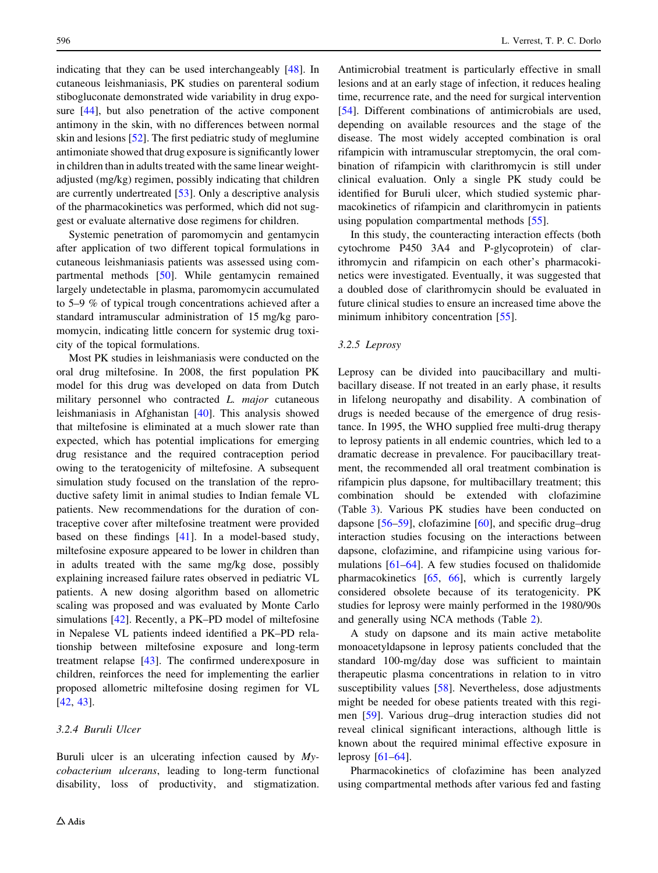indicating that they can be used interchangeably [[48\]](#page-21-0). In cutaneous leishmaniasis, PK studies on parenteral sodium stibogluconate demonstrated wide variability in drug exposure [[44\]](#page-21-0), but also penetration of the active component antimony in the skin, with no differences between normal skin and lesions [\[52](#page-21-0)]. The first pediatric study of meglumine antimoniate showed that drug exposure is significantly lower in children than in adults treated with the same linear weightadjusted (mg/kg) regimen, possibly indicating that children are currently undertreated [\[53](#page-21-0)]. Only a descriptive analysis of the pharmacokinetics was performed, which did not suggest or evaluate alternative dose regimens for children.

Systemic penetration of paromomycin and gentamycin after application of two different topical formulations in cutaneous leishmaniasis patients was assessed using compartmental methods [[50\]](#page-21-0). While gentamycin remained largely undetectable in plasma, paromomycin accumulated to 5–9 % of typical trough concentrations achieved after a standard intramuscular administration of 15 mg/kg paromomycin, indicating little concern for systemic drug toxicity of the topical formulations.

Most PK studies in leishmaniasis were conducted on the oral drug miltefosine. In 2008, the first population PK model for this drug was developed on data from Dutch military personnel who contracted L. major cutaneous leishmaniasis in Afghanistan [[40\]](#page-21-0). This analysis showed that miltefosine is eliminated at a much slower rate than expected, which has potential implications for emerging drug resistance and the required contraception period owing to the teratogenicity of miltefosine. A subsequent simulation study focused on the translation of the reproductive safety limit in animal studies to Indian female VL patients. New recommendations for the duration of contraceptive cover after miltefosine treatment were provided based on these findings [[41\]](#page-21-0). In a model-based study, miltefosine exposure appeared to be lower in children than in adults treated with the same mg/kg dose, possibly explaining increased failure rates observed in pediatric VL patients. A new dosing algorithm based on allometric scaling was proposed and was evaluated by Monte Carlo simulations [[42\]](#page-21-0). Recently, a PK–PD model of miltefosine in Nepalese VL patients indeed identified a PK–PD relationship between miltefosine exposure and long-term treatment relapse [[43\]](#page-21-0). The confirmed underexposure in children, reinforces the need for implementing the earlier proposed allometric miltefosine dosing regimen for VL [\[42](#page-21-0), [43](#page-21-0)].

#### 3.2.4 Buruli Ulcer

Buruli ulcer is an ulcerating infection caused by Mycobacterium ulcerans, leading to long-term functional disability, loss of productivity, and stigmatization. Antimicrobial treatment is particularly effective in small lesions and at an early stage of infection, it reduces healing time, recurrence rate, and the need for surgical intervention [\[54](#page-21-0)]. Different combinations of antimicrobials are used, depending on available resources and the stage of the disease. The most widely accepted combination is oral rifampicin with intramuscular streptomycin, the oral combination of rifampicin with clarithromycin is still under clinical evaluation. Only a single PK study could be identified for Buruli ulcer, which studied systemic pharmacokinetics of rifampicin and clarithromycin in patients using population compartmental methods [\[55](#page-21-0)].

In this study, the counteracting interaction effects (both cytochrome P450 3A4 and P-glycoprotein) of clarithromycin and rifampicin on each other's pharmacokinetics were investigated. Eventually, it was suggested that a doubled dose of clarithromycin should be evaluated in future clinical studies to ensure an increased time above the minimum inhibitory concentration [[55\]](#page-21-0).

#### 3.2.5 Leprosy

Leprosy can be divided into paucibacillary and multibacillary disease. If not treated in an early phase, it results in lifelong neuropathy and disability. A combination of drugs is needed because of the emergence of drug resistance. In 1995, the WHO supplied free multi-drug therapy to leprosy patients in all endemic countries, which led to a dramatic decrease in prevalence. For paucibacillary treatment, the recommended all oral treatment combination is rifampicin plus dapsone, for multibacillary treatment; this combination should be extended with clofazimine (Table [3\)](#page-11-0). Various PK studies have been conducted on dapsone [\[56–59](#page-21-0)], clofazimine [[60\]](#page-22-0), and specific drug–drug interaction studies focusing on the interactions between dapsone, clofazimine, and rifampicine using various formulations [[61–64\]](#page-22-0). A few studies focused on thalidomide pharmacokinetics [[65,](#page-22-0) [66](#page-22-0)], which is currently largely considered obsolete because of its teratogenicity. PK studies for leprosy were mainly performed in the 1980/90s and generally using NCA methods (Table [2\)](#page-5-0).

A study on dapsone and its main active metabolite monoacetyldapsone in leprosy patients concluded that the standard 100-mg/day dose was sufficient to maintain therapeutic plasma concentrations in relation to in vitro susceptibility values [\[58](#page-21-0)]. Nevertheless, dose adjustments might be needed for obese patients treated with this regimen [\[59](#page-21-0)]. Various drug–drug interaction studies did not reveal clinical significant interactions, although little is known about the required minimal effective exposure in leprosy [\[61–64](#page-22-0)].

Pharmacokinetics of clofazimine has been analyzed using compartmental methods after various fed and fasting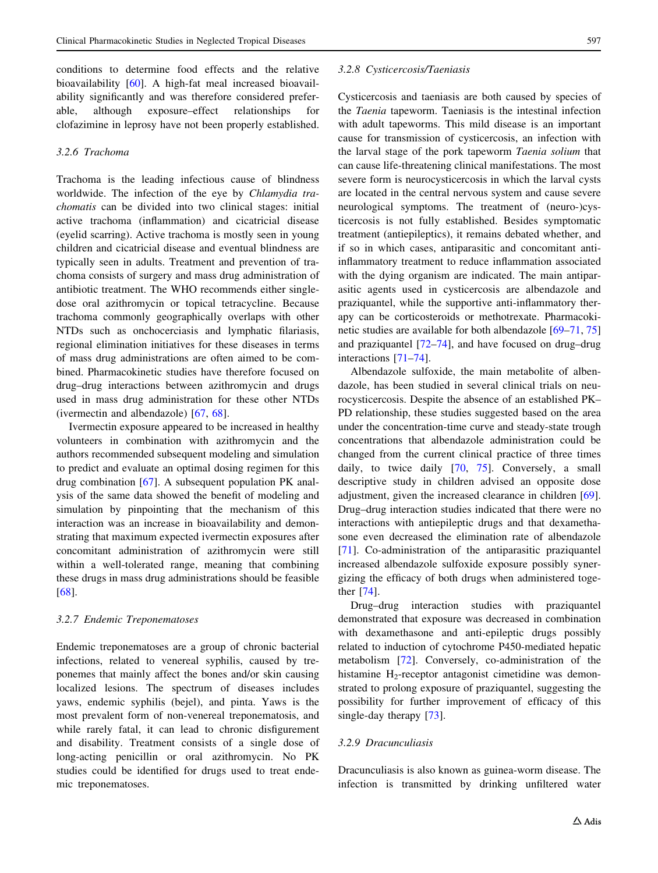conditions to determine food effects and the relative bioavailability [\[60](#page-22-0)]. A high-fat meal increased bioavailability significantly and was therefore considered preferable, although exposure–effect relationships for clofazimine in leprosy have not been properly established.

# 3.2.6 Trachoma

Trachoma is the leading infectious cause of blindness worldwide. The infection of the eye by Chlamydia trachomatis can be divided into two clinical stages: initial active trachoma (inflammation) and cicatricial disease (eyelid scarring). Active trachoma is mostly seen in young children and cicatricial disease and eventual blindness are typically seen in adults. Treatment and prevention of trachoma consists of surgery and mass drug administration of antibiotic treatment. The WHO recommends either singledose oral azithromycin or topical tetracycline. Because trachoma commonly geographically overlaps with other NTDs such as onchocerciasis and lymphatic filariasis, regional elimination initiatives for these diseases in terms of mass drug administrations are often aimed to be combined. Pharmacokinetic studies have therefore focused on drug–drug interactions between azithromycin and drugs used in mass drug administration for these other NTDs (ivermectin and albendazole) [\[67](#page-22-0), [68](#page-22-0)].

Ivermectin exposure appeared to be increased in healthy volunteers in combination with azithromycin and the authors recommended subsequent modeling and simulation to predict and evaluate an optimal dosing regimen for this drug combination [\[67](#page-22-0)]. A subsequent population PK analysis of the same data showed the benefit of modeling and simulation by pinpointing that the mechanism of this interaction was an increase in bioavailability and demonstrating that maximum expected ivermectin exposures after concomitant administration of azithromycin were still within a well-tolerated range, meaning that combining these drugs in mass drug administrations should be feasible [\[68](#page-22-0)].

## 3.2.7 Endemic Treponematoses

Endemic treponematoses are a group of chronic bacterial infections, related to venereal syphilis, caused by treponemes that mainly affect the bones and/or skin causing localized lesions. The spectrum of diseases includes yaws, endemic syphilis (bejel), and pinta. Yaws is the most prevalent form of non-venereal treponematosis, and while rarely fatal, it can lead to chronic disfigurement and disability. Treatment consists of a single dose of long-acting penicillin or oral azithromycin. No PK studies could be identified for drugs used to treat endemic treponematoses.

#### 3.2.8 Cysticercosis/Taeniasis

Cysticercosis and taeniasis are both caused by species of the Taenia tapeworm. Taeniasis is the intestinal infection with adult tapeworms. This mild disease is an important cause for transmission of cysticercosis, an infection with the larval stage of the pork tapeworm Taenia solium that can cause life-threatening clinical manifestations. The most severe form is neurocysticercosis in which the larval cysts are located in the central nervous system and cause severe neurological symptoms. The treatment of (neuro-)cysticercosis is not fully established. Besides symptomatic treatment (antiepileptics), it remains debated whether, and if so in which cases, antiparasitic and concomitant antiinflammatory treatment to reduce inflammation associated with the dying organism are indicated. The main antiparasitic agents used in cysticercosis are albendazole and praziquantel, while the supportive anti-inflammatory therapy can be corticosteroids or methotrexate. Pharmacokinetic studies are available for both albendazole [[69–71,](#page-22-0) [75\]](#page-22-0) and praziquantel [\[72–74](#page-22-0)], and have focused on drug–drug interactions [[71–74\]](#page-22-0).

Albendazole sulfoxide, the main metabolite of albendazole, has been studied in several clinical trials on neurocysticercosis. Despite the absence of an established PK– PD relationship, these studies suggested based on the area under the concentration-time curve and steady-state trough concentrations that albendazole administration could be changed from the current clinical practice of three times daily, to twice daily [[70,](#page-22-0) [75\]](#page-22-0). Conversely, a small descriptive study in children advised an opposite dose adjustment, given the increased clearance in children [\[69](#page-22-0)]. Drug–drug interaction studies indicated that there were no interactions with antiepileptic drugs and that dexamethasone even decreased the elimination rate of albendazole [\[71](#page-22-0)]. Co-administration of the antiparasitic praziquantel increased albendazole sulfoxide exposure possibly synergizing the efficacy of both drugs when administered together [\[74](#page-22-0)].

Drug–drug interaction studies with praziquantel demonstrated that exposure was decreased in combination with dexamethasone and anti-epileptic drugs possibly related to induction of cytochrome P450-mediated hepatic metabolism [[72\]](#page-22-0). Conversely, co-administration of the histamine  $H_2$ -receptor antagonist cimetidine was demonstrated to prolong exposure of praziquantel, suggesting the possibility for further improvement of efficacy of this single-day therapy [[73\]](#page-22-0).

## 3.2.9 Dracunculiasis

Dracunculiasis is also known as guinea-worm disease. The infection is transmitted by drinking unfiltered water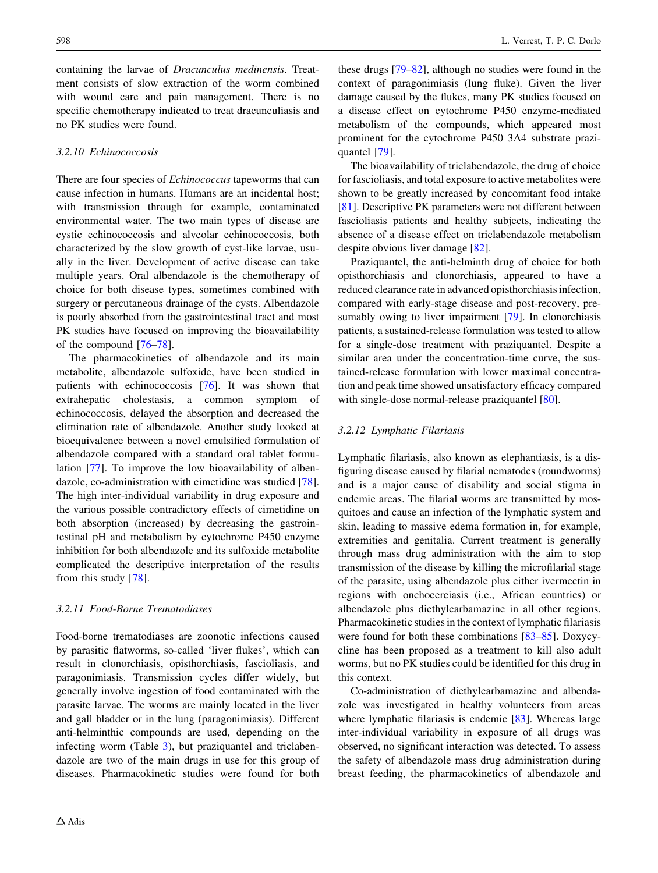containing the larvae of Dracunculus medinensis. Treatment consists of slow extraction of the worm combined with wound care and pain management. There is no specific chemotherapy indicated to treat dracunculiasis and no PK studies were found.

# 3.2.10 Echinococcosis

There are four species of Echinococcus tapeworms that can cause infection in humans. Humans are an incidental host; with transmission through for example, contaminated environmental water. The two main types of disease are cystic echinococcosis and alveolar echinococcosis, both characterized by the slow growth of cyst-like larvae, usually in the liver. Development of active disease can take multiple years. Oral albendazole is the chemotherapy of choice for both disease types, sometimes combined with surgery or percutaneous drainage of the cysts. Albendazole is poorly absorbed from the gastrointestinal tract and most PK studies have focused on improving the bioavailability of the compound [\[76–78](#page-22-0)].

The pharmacokinetics of albendazole and its main metabolite, albendazole sulfoxide, have been studied in patients with echinococcosis [[76\]](#page-22-0). It was shown that extrahepatic cholestasis, a common symptom of echinococcosis, delayed the absorption and decreased the elimination rate of albendazole. Another study looked at bioequivalence between a novel emulsified formulation of albendazole compared with a standard oral tablet formulation [\[77](#page-22-0)]. To improve the low bioavailability of albendazole, co-administration with cimetidine was studied [\[78](#page-22-0)]. The high inter-individual variability in drug exposure and the various possible contradictory effects of cimetidine on both absorption (increased) by decreasing the gastrointestinal pH and metabolism by cytochrome P450 enzyme inhibition for both albendazole and its sulfoxide metabolite complicated the descriptive interpretation of the results from this study [[78\]](#page-22-0).

## 3.2.11 Food-Borne Trematodiases

Food-borne trematodiases are zoonotic infections caused by parasitic flatworms, so-called 'liver flukes', which can result in clonorchiasis, opisthorchiasis, fascioliasis, and paragonimiasis. Transmission cycles differ widely, but generally involve ingestion of food contaminated with the parasite larvae. The worms are mainly located in the liver and gall bladder or in the lung (paragonimiasis). Different anti-helminthic compounds are used, depending on the infecting worm (Table [3](#page-11-0)), but praziquantel and triclabendazole are two of the main drugs in use for this group of diseases. Pharmacokinetic studies were found for both

these drugs [[79–82\]](#page-22-0), although no studies were found in the context of paragonimiasis (lung fluke). Given the liver damage caused by the flukes, many PK studies focused on a disease effect on cytochrome P450 enzyme-mediated metabolism of the compounds, which appeared most prominent for the cytochrome P450 3A4 substrate praziquantel [\[79](#page-22-0)].

The bioavailability of triclabendazole, the drug of choice for fascioliasis, and total exposure to active metabolites were shown to be greatly increased by concomitant food intake [\[81](#page-22-0)]. Descriptive PK parameters were not different between fascioliasis patients and healthy subjects, indicating the absence of a disease effect on triclabendazole metabolism despite obvious liver damage [\[82](#page-22-0)].

Praziquantel, the anti-helminth drug of choice for both opisthorchiasis and clonorchiasis, appeared to have a reduced clearance rate in advanced opisthorchiasis infection, compared with early-stage disease and post-recovery, pre-sumably owing to liver impairment [[79\]](#page-22-0). In clonorchiasis patients, a sustained-release formulation was tested to allow for a single-dose treatment with praziquantel. Despite a similar area under the concentration-time curve, the sustained-release formulation with lower maximal concentration and peak time showed unsatisfactory efficacy compared with single-dose normal-release praziquantel [[80\]](#page-22-0).

#### 3.2.12 Lymphatic Filariasis

Lymphatic filariasis, also known as elephantiasis, is a disfiguring disease caused by filarial nematodes (roundworms) and is a major cause of disability and social stigma in endemic areas. The filarial worms are transmitted by mosquitoes and cause an infection of the lymphatic system and skin, leading to massive edema formation in, for example, extremities and genitalia. Current treatment is generally through mass drug administration with the aim to stop transmission of the disease by killing the microfilarial stage of the parasite, using albendazole plus either ivermectin in regions with onchocerciasis (i.e., African countries) or albendazole plus diethylcarbamazine in all other regions. Pharmacokinetic studies in the context of lymphatic filariasis were found for both these combinations [\[83–85](#page-22-0)]. Doxycycline has been proposed as a treatment to kill also adult worms, but no PK studies could be identified for this drug in this context.

Co-administration of diethylcarbamazine and albendazole was investigated in healthy volunteers from areas where lymphatic filariasis is endemic [\[83](#page-22-0)]. Whereas large inter-individual variability in exposure of all drugs was observed, no significant interaction was detected. To assess the safety of albendazole mass drug administration during breast feeding, the pharmacokinetics of albendazole and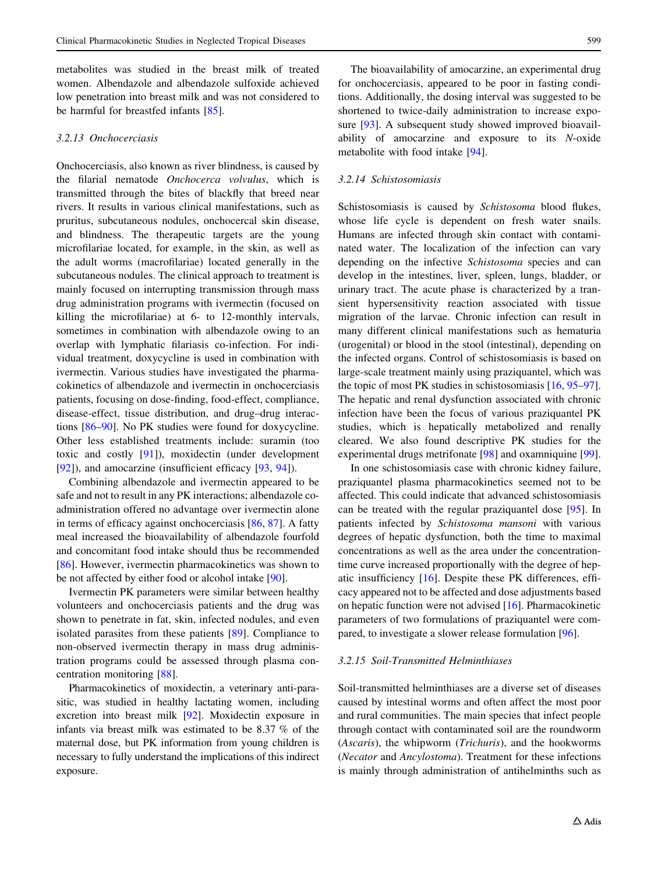metabolites was studied in the breast milk of treated women. Albendazole and albendazole sulfoxide achieved low penetration into breast milk and was not considered to be harmful for breastfed infants [[85\]](#page-22-0).

## 3.2.13 Onchocerciasis

Onchocerciasis, also known as river blindness, is caused by the filarial nematode Onchocerca volvulus, which is transmitted through the bites of blackfly that breed near rivers. It results in various clinical manifestations, such as pruritus, subcutaneous nodules, onchocercal skin disease, and blindness. The therapeutic targets are the young microfilariae located, for example, in the skin, as well as the adult worms (macrofilariae) located generally in the subcutaneous nodules. The clinical approach to treatment is mainly focused on interrupting transmission through mass drug administration programs with ivermectin (focused on killing the microfilariae) at 6- to 12-monthly intervals, sometimes in combination with albendazole owing to an overlap with lymphatic filariasis co-infection. For individual treatment, doxycycline is used in combination with ivermectin. Various studies have investigated the pharmacokinetics of albendazole and ivermectin in onchocerciasis patients, focusing on dose-finding, food-effect, compliance, disease-effect, tissue distribution, and drug–drug interactions [\[86–90\]](#page-22-0). No PK studies were found for doxycycline. Other less established treatments include: suramin (too toxic and costly [[91\]](#page-22-0)), moxidectin (under development [\[92](#page-22-0)]), and amocarzine (insufficient efficacy [\[93](#page-22-0), [94\]](#page-22-0)).

Combining albendazole and ivermectin appeared to be safe and not to result in any PK interactions; albendazole coadministration offered no advantage over ivermectin alone in terms of efficacy against onchocerciasis [\[86](#page-22-0), [87\]](#page-22-0). A fatty meal increased the bioavailability of albendazole fourfold and concomitant food intake should thus be recommended [\[86](#page-22-0)]. However, ivermectin pharmacokinetics was shown to be not affected by either food or alcohol intake [[90\]](#page-22-0).

Ivermectin PK parameters were similar between healthy volunteers and onchocerciasis patients and the drug was shown to penetrate in fat, skin, infected nodules, and even isolated parasites from these patients [[89\]](#page-22-0). Compliance to non-observed ivermectin therapy in mass drug administration programs could be assessed through plasma concentration monitoring [[88\]](#page-22-0).

Pharmacokinetics of moxidectin, a veterinary anti-parasitic, was studied in healthy lactating women, including excretion into breast milk [\[92\]](#page-22-0). Moxidectin exposure in infants via breast milk was estimated to be 8.37 % of the maternal dose, but PK information from young children is necessary to fully understand the implications of this indirect exposure.

The bioavailability of amocarzine, an experimental drug for onchocerciasis, appeared to be poor in fasting conditions. Additionally, the dosing interval was suggested to be shortened to twice-daily administration to increase exposure [[93\]](#page-22-0). A subsequent study showed improved bioavailability of amocarzine and exposure to its N-oxide metabolite with food intake [[94\]](#page-22-0).

# 3.2.14 Schistosomiasis

Schistosomiasis is caused by Schistosoma blood flukes, whose life cycle is dependent on fresh water snails. Humans are infected through skin contact with contaminated water. The localization of the infection can vary depending on the infective Schistosoma species and can develop in the intestines, liver, spleen, lungs, bladder, or urinary tract. The acute phase is characterized by a transient hypersensitivity reaction associated with tissue migration of the larvae. Chronic infection can result in many different clinical manifestations such as hematuria (urogenital) or blood in the stool (intestinal), depending on the infected organs. Control of schistosomiasis is based on large-scale treatment mainly using praziquantel, which was the topic of most PK studies in schistosomiasis [[16,](#page-20-0) [95](#page-22-0)[–97](#page-23-0)]. The hepatic and renal dysfunction associated with chronic infection have been the focus of various praziquantel PK studies, which is hepatically metabolized and renally cleared. We also found descriptive PK studies for the experimental drugs metrifonate [[98\]](#page-23-0) and oxamniquine [\[99](#page-23-0)].

In one schistosomiasis case with chronic kidney failure, praziquantel plasma pharmacokinetics seemed not to be affected. This could indicate that advanced schistosomiasis can be treated with the regular praziquantel dose [\[95](#page-22-0)]. In patients infected by Schistosoma mansoni with various degrees of hepatic dysfunction, both the time to maximal concentrations as well as the area under the concentrationtime curve increased proportionally with the degree of hepatic insufficiency [[16\]](#page-20-0). Despite these PK differences, efficacy appeared not to be affected and dose adjustments based on hepatic function were not advised [[16\]](#page-20-0). Pharmacokinetic parameters of two formulations of praziquantel were compared, to investigate a slower release formulation [\[96](#page-23-0)].

## 3.2.15 Soil-Transmitted Helminthiases

Soil-transmitted helminthiases are a diverse set of diseases caused by intestinal worms and often affect the most poor and rural communities. The main species that infect people through contact with contaminated soil are the roundworm (Ascaris), the whipworm (Trichuris), and the hookworms (Necator and Ancylostoma). Treatment for these infections is mainly through administration of antihelminths such as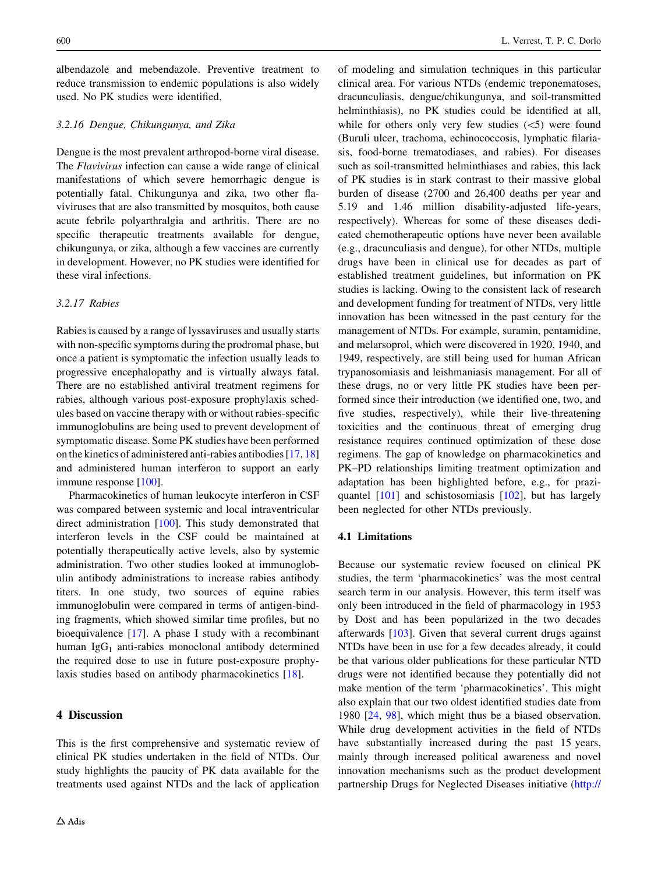albendazole and mebendazole. Preventive treatment to reduce transmission to endemic populations is also widely used. No PK studies were identified.

# 3.2.16 Dengue, Chikungunya, and Zika

Dengue is the most prevalent arthropod-borne viral disease. The Flavivirus infection can cause a wide range of clinical manifestations of which severe hemorrhagic dengue is potentially fatal. Chikungunya and zika, two other flaviviruses that are also transmitted by mosquitos, both cause acute febrile polyarthralgia and arthritis. There are no specific therapeutic treatments available for dengue, chikungunya, or zika, although a few vaccines are currently in development. However, no PK studies were identified for these viral infections.

## 3.2.17 Rabies

Rabies is caused by a range of lyssaviruses and usually starts with non-specific symptoms during the prodromal phase, but once a patient is symptomatic the infection usually leads to progressive encephalopathy and is virtually always fatal. There are no established antiviral treatment regimens for rabies, although various post-exposure prophylaxis schedules based on vaccine therapy with or without rabies-specific immunoglobulins are being used to prevent development of symptomatic disease. Some PK studies have been performed on the kinetics of administered anti-rabies antibodies [[17,](#page-20-0) [18\]](#page-20-0) and administered human interferon to support an early immune response [\[100](#page-23-0)].

Pharmacokinetics of human leukocyte interferon in CSF was compared between systemic and local intraventricular direct administration [\[100](#page-23-0)]. This study demonstrated that interferon levels in the CSF could be maintained at potentially therapeutically active levels, also by systemic administration. Two other studies looked at immunoglobulin antibody administrations to increase rabies antibody titers. In one study, two sources of equine rabies immunoglobulin were compared in terms of antigen-binding fragments, which showed similar time profiles, but no bioequivalence [[17\]](#page-20-0). A phase I study with a recombinant human  $IgG_1$  anti-rabies monoclonal antibody determined the required dose to use in future post-exposure prophylaxis studies based on antibody pharmacokinetics [\[18](#page-20-0)].

# 4 Discussion

This is the first comprehensive and systematic review of clinical PK studies undertaken in the field of NTDs. Our study highlights the paucity of PK data available for the treatments used against NTDs and the lack of application of modeling and simulation techniques in this particular clinical area. For various NTDs (endemic treponematoses, dracunculiasis, dengue/chikungunya, and soil-transmitted helminthiasis), no PK studies could be identified at all, while for others only very few studies  $(<5)$  were found (Buruli ulcer, trachoma, echinococcosis, lymphatic filariasis, food-borne trematodiases, and rabies). For diseases such as soil-transmitted helminthiases and rabies, this lack of PK studies is in stark contrast to their massive global burden of disease (2700 and 26,400 deaths per year and 5.19 and 1.46 million disability-adjusted life-years, respectively). Whereas for some of these diseases dedicated chemotherapeutic options have never been available (e.g., dracunculiasis and dengue), for other NTDs, multiple drugs have been in clinical use for decades as part of established treatment guidelines, but information on PK studies is lacking. Owing to the consistent lack of research and development funding for treatment of NTDs, very little innovation has been witnessed in the past century for the management of NTDs. For example, suramin, pentamidine, and melarsoprol, which were discovered in 1920, 1940, and 1949, respectively, are still being used for human African trypanosomiasis and leishmaniasis management. For all of these drugs, no or very little PK studies have been performed since their introduction (we identified one, two, and five studies, respectively), while their live-threatening toxicities and the continuous threat of emerging drug resistance requires continued optimization of these dose regimens. The gap of knowledge on pharmacokinetics and PK–PD relationships limiting treatment optimization and adaptation has been highlighted before, e.g., for praziquantel [[101\]](#page-23-0) and schistosomiasis [[102\]](#page-23-0), but has largely been neglected for other NTDs previously.

### 4.1 Limitations

Because our systematic review focused on clinical PK studies, the term 'pharmacokinetics' was the most central search term in our analysis. However, this term itself was only been introduced in the field of pharmacology in 1953 by Dost and has been popularized in the two decades afterwards [\[103](#page-23-0)]. Given that several current drugs against NTDs have been in use for a few decades already, it could be that various older publications for these particular NTD drugs were not identified because they potentially did not make mention of the term 'pharmacokinetics'. This might also explain that our two oldest identified studies date from 1980 [\[24](#page-21-0), [98](#page-23-0)], which might thus be a biased observation. While drug development activities in the field of NTDs have substantially increased during the past 15 years, mainly through increased political awareness and novel innovation mechanisms such as the product development partnership Drugs for Neglected Diseases initiative [\(http://](http://www.dndi.org)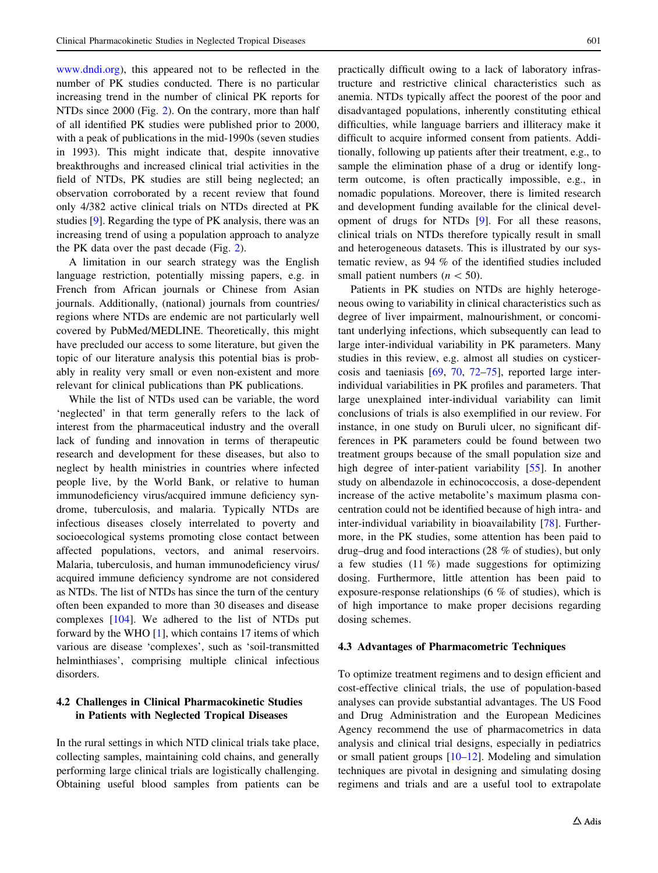[www.dndi.org\)](http://www.dndi.org), this appeared not to be reflected in the number of PK studies conducted. There is no particular increasing trend in the number of clinical PK reports for NTDs since 2000 (Fig. [2](#page-10-0)). On the contrary, more than half of all identified PK studies were published prior to 2000, with a peak of publications in the mid-1990s (seven studies in 1993). This might indicate that, despite innovative breakthroughs and increased clinical trial activities in the field of NTDs, PK studies are still being neglected; an observation corroborated by a recent review that found only 4/382 active clinical trials on NTDs directed at PK studies [[9\]](#page-20-0). Regarding the type of PK analysis, there was an increasing trend of using a population approach to analyze the PK data over the past decade (Fig. [2](#page-10-0)).

A limitation in our search strategy was the English language restriction, potentially missing papers, e.g. in French from African journals or Chinese from Asian journals. Additionally, (national) journals from countries/ regions where NTDs are endemic are not particularly well covered by PubMed/MEDLINE. Theoretically, this might have precluded our access to some literature, but given the topic of our literature analysis this potential bias is probably in reality very small or even non-existent and more relevant for clinical publications than PK publications.

While the list of NTDs used can be variable, the word 'neglected' in that term generally refers to the lack of interest from the pharmaceutical industry and the overall lack of funding and innovation in terms of therapeutic research and development for these diseases, but also to neglect by health ministries in countries where infected people live, by the World Bank, or relative to human immunodeficiency virus/acquired immune deficiency syndrome, tuberculosis, and malaria. Typically NTDs are infectious diseases closely interrelated to poverty and socioecological systems promoting close contact between affected populations, vectors, and animal reservoirs. Malaria, tuberculosis, and human immunodeficiency virus/ acquired immune deficiency syndrome are not considered as NTDs. The list of NTDs has since the turn of the century often been expanded to more than 30 diseases and disease complexes [[104](#page-23-0)]. We adhered to the list of NTDs put forward by the WHO [[1\]](#page-20-0), which contains 17 items of which various are disease 'complexes', such as 'soil-transmitted helminthiases', comprising multiple clinical infectious disorders.

# 4.2 Challenges in Clinical Pharmacokinetic Studies in Patients with Neglected Tropical Diseases

In the rural settings in which NTD clinical trials take place, collecting samples, maintaining cold chains, and generally performing large clinical trials are logistically challenging. Obtaining useful blood samples from patients can be practically difficult owing to a lack of laboratory infrastructure and restrictive clinical characteristics such as anemia. NTDs typically affect the poorest of the poor and disadvantaged populations, inherently constituting ethical difficulties, while language barriers and illiteracy make it difficult to acquire informed consent from patients. Additionally, following up patients after their treatment, e.g., to sample the elimination phase of a drug or identify longterm outcome, is often practically impossible, e.g., in nomadic populations. Moreover, there is limited research and development funding available for the clinical development of drugs for NTDs [\[9](#page-20-0)]. For all these reasons, clinical trials on NTDs therefore typically result in small and heterogeneous datasets. This is illustrated by our systematic review, as 94 % of the identified studies included small patient numbers ( $n<50$ ).

Patients in PK studies on NTDs are highly heterogeneous owing to variability in clinical characteristics such as degree of liver impairment, malnourishment, or concomitant underlying infections, which subsequently can lead to large inter-individual variability in PK parameters. Many studies in this review, e.g. almost all studies on cysticercosis and taeniasis [[69](#page-22-0), [70](#page-22-0), [72–75](#page-22-0)], reported large interindividual variabilities in PK profiles and parameters. That large unexplained inter-individual variability can limit conclusions of trials is also exemplified in our review. For instance, in one study on Buruli ulcer, no significant differences in PK parameters could be found between two treatment groups because of the small population size and high degree of inter-patient variability [\[55](#page-21-0)]. In another study on albendazole in echinococcosis, a dose-dependent increase of the active metabolite's maximum plasma concentration could not be identified because of high intra- and inter-individual variability in bioavailability [\[78](#page-22-0)]. Furthermore, in the PK studies, some attention has been paid to drug–drug and food interactions (28 % of studies), but only a few studies  $(11 \%)$  made suggestions for optimizing dosing. Furthermore, little attention has been paid to exposure-response relationships (6 % of studies), which is of high importance to make proper decisions regarding dosing schemes.

## 4.3 Advantages of Pharmacometric Techniques

To optimize treatment regimens and to design efficient and cost-effective clinical trials, the use of population-based analyses can provide substantial advantages. The US Food and Drug Administration and the European Medicines Agency recommend the use of pharmacometrics in data analysis and clinical trial designs, especially in pediatrics or small patient groups [[10–12\]](#page-20-0). Modeling and simulation techniques are pivotal in designing and simulating dosing regimens and trials and are a useful tool to extrapolate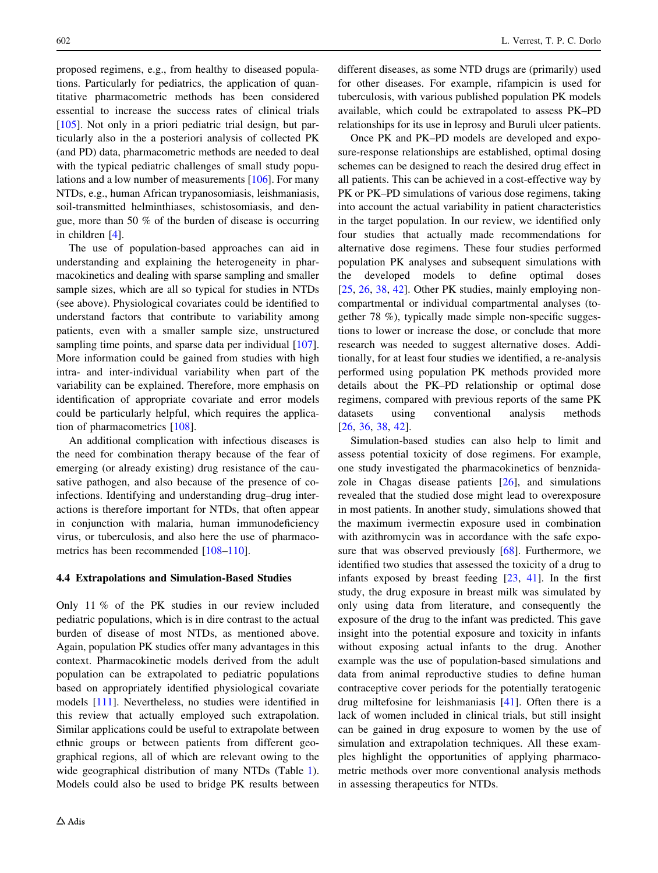proposed regimens, e.g., from healthy to diseased populations. Particularly for pediatrics, the application of quantitative pharmacometric methods has been considered essential to increase the success rates of clinical trials [\[105](#page-23-0)]. Not only in a priori pediatric trial design, but particularly also in the a posteriori analysis of collected PK (and PD) data, pharmacometric methods are needed to deal with the typical pediatric challenges of small study populations and a low number of measurements [[106\]](#page-23-0). For many NTDs, e.g., human African trypanosomiasis, leishmaniasis, soil-transmitted helminthiases, schistosomiasis, and dengue, more than 50 % of the burden of disease is occurring in children [[4\]](#page-20-0).

The use of population-based approaches can aid in understanding and explaining the heterogeneity in pharmacokinetics and dealing with sparse sampling and smaller sample sizes, which are all so typical for studies in NTDs (see above). Physiological covariates could be identified to understand factors that contribute to variability among patients, even with a smaller sample size, unstructured sampling time points, and sparse data per individual [\[107](#page-23-0)]. More information could be gained from studies with high intra- and inter-individual variability when part of the variability can be explained. Therefore, more emphasis on identification of appropriate covariate and error models could be particularly helpful, which requires the application of pharmacometrics [\[108](#page-23-0)].

An additional complication with infectious diseases is the need for combination therapy because of the fear of emerging (or already existing) drug resistance of the causative pathogen, and also because of the presence of coinfections. Identifying and understanding drug–drug interactions is therefore important for NTDs, that often appear in conjunction with malaria, human immunodeficiency virus, or tuberculosis, and also here the use of pharmacometrics has been recommended [\[108–110](#page-23-0)].

#### 4.4 Extrapolations and Simulation-Based Studies

Only 11 % of the PK studies in our review included pediatric populations, which is in dire contrast to the actual burden of disease of most NTDs, as mentioned above. Again, population PK studies offer many advantages in this context. Pharmacokinetic models derived from the adult population can be extrapolated to pediatric populations based on appropriately identified physiological covariate models [\[111](#page-23-0)]. Nevertheless, no studies were identified in this review that actually employed such extrapolation. Similar applications could be useful to extrapolate between ethnic groups or between patients from different geographical regions, all of which are relevant owing to the wide geographical distribution of many NTDs (Table [1](#page-2-0)). Models could also be used to bridge PK results between different diseases, as some NTD drugs are (primarily) used for other diseases. For example, rifampicin is used for tuberculosis, with various published population PK models available, which could be extrapolated to assess PK–PD relationships for its use in leprosy and Buruli ulcer patients.

Once PK and PK–PD models are developed and exposure-response relationships are established, optimal dosing schemes can be designed to reach the desired drug effect in all patients. This can be achieved in a cost-effective way by PK or PK–PD simulations of various dose regimens, taking into account the actual variability in patient characteristics in the target population. In our review, we identified only four studies that actually made recommendations for alternative dose regimens. These four studies performed population PK analyses and subsequent simulations with the developed models to define optimal doses [\[25](#page-21-0), [26,](#page-21-0) [38](#page-21-0), [42\]](#page-21-0). Other PK studies, mainly employing noncompartmental or individual compartmental analyses (together 78 %), typically made simple non-specific suggestions to lower or increase the dose, or conclude that more research was needed to suggest alternative doses. Additionally, for at least four studies we identified, a re-analysis performed using population PK methods provided more details about the PK–PD relationship or optimal dose regimens, compared with previous reports of the same PK datasets using conventional analysis methods [\[26](#page-21-0), [36](#page-21-0), [38](#page-21-0), [42\]](#page-21-0).

Simulation-based studies can also help to limit and assess potential toxicity of dose regimens. For example, one study investigated the pharmacokinetics of benznidazole in Chagas disease patients [\[26](#page-21-0)], and simulations revealed that the studied dose might lead to overexposure in most patients. In another study, simulations showed that the maximum ivermectin exposure used in combination with azithromycin was in accordance with the safe exposure that was observed previously [[68\]](#page-22-0). Furthermore, we identified two studies that assessed the toxicity of a drug to infants exposed by breast feeding [\[23](#page-20-0), [41\]](#page-21-0). In the first study, the drug exposure in breast milk was simulated by only using data from literature, and consequently the exposure of the drug to the infant was predicted. This gave insight into the potential exposure and toxicity in infants without exposing actual infants to the drug. Another example was the use of population-based simulations and data from animal reproductive studies to define human contraceptive cover periods for the potentially teratogenic drug miltefosine for leishmaniasis [\[41](#page-21-0)]. Often there is a lack of women included in clinical trials, but still insight can be gained in drug exposure to women by the use of simulation and extrapolation techniques. All these examples highlight the opportunities of applying pharmacometric methods over more conventional analysis methods in assessing therapeutics for NTDs.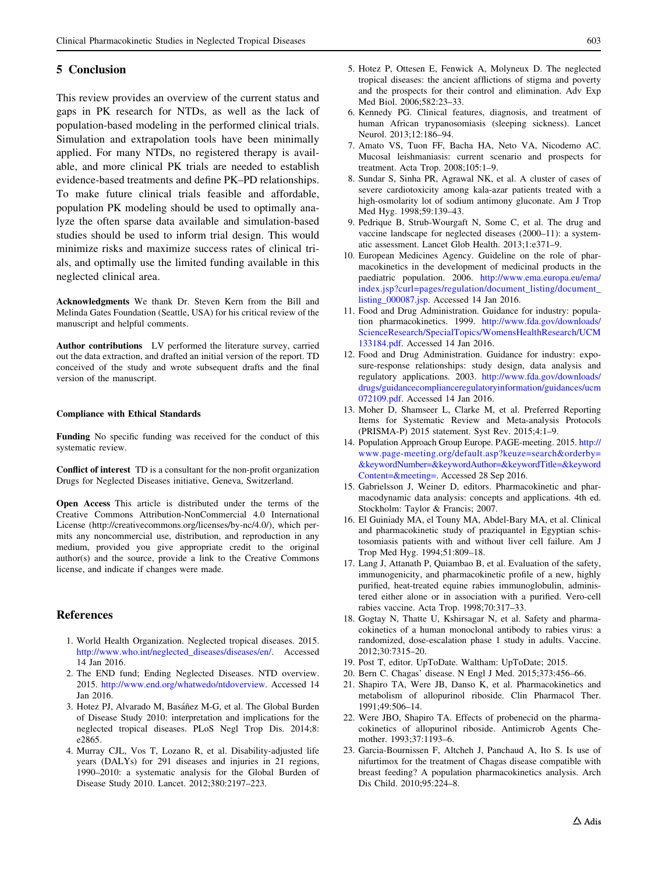## <span id="page-20-0"></span>5 Conclusion

This review provides an overview of the current status and gaps in PK research for NTDs, as well as the lack of population-based modeling in the performed clinical trials. Simulation and extrapolation tools have been minimally applied. For many NTDs, no registered therapy is available, and more clinical PK trials are needed to establish evidence-based treatments and define PK–PD relationships. To make future clinical trials feasible and affordable, population PK modeling should be used to optimally analyze the often sparse data available and simulation-based studies should be used to inform trial design. This would minimize risks and maximize success rates of clinical trials, and optimally use the limited funding available in this neglected clinical area.

Acknowledgments We thank Dr. Steven Kern from the Bill and Melinda Gates Foundation (Seattle, USA) for his critical review of the manuscript and helpful comments.

Author contributions LV performed the literature survey, carried out the data extraction, and drafted an initial version of the report. TD conceived of the study and wrote subsequent drafts and the final version of the manuscript.

#### Compliance with Ethical Standards

Funding No specific funding was received for the conduct of this systematic review.

Conflict of interest TD is a consultant for the non-profit organization Drugs for Neglected Diseases initiative, Geneva, Switzerland.

Open Access This article is distributed under the terms of the Creative Commons Attribution-NonCommercial 4.0 International License (http://creativecommons.org/licenses/by-nc/4.0/), which permits any noncommercial use, distribution, and reproduction in any medium, provided you give appropriate credit to the original author(s) and the source, provide a link to the Creative Commons license, and indicate if changes were made.

# References

- 1. World Health Organization. Neglected tropical diseases. 2015. [http://www.who.int/neglected\\_diseases/diseases/en/.](http://www.who.int/neglected_diseases/diseases/en/) Accessed 14 Jan 2016.
- 2. The END fund; Ending Neglected Diseases. NTD overview. 2015. <http://www.end.org/whatwedo/ntdoverview>. Accessed 14 Jan 2016.
- 3. Hotez PJ, Alvarado M, Basáñez M-G, et al. The Global Burden of Disease Study 2010: interpretation and implications for the neglected tropical diseases. PLoS Negl Trop Dis. 2014;8: e2865.
- 4. Murray CJL, Vos T, Lozano R, et al. Disability-adjusted life years (DALYs) for 291 diseases and injuries in 21 regions, 1990–2010: a systematic analysis for the Global Burden of Disease Study 2010. Lancet. 2012;380:2197–223.
- 5. Hotez P, Ottesen E, Fenwick A, Molyneux D. The neglected tropical diseases: the ancient afflictions of stigma and poverty and the prospects for their control and elimination. Adv Exp Med Biol. 2006;582:23–33.
- 6. Kennedy PG. Clinical features, diagnosis, and treatment of human African trypanosomiasis (sleeping sickness). Lancet Neurol. 2013;12:186–94.
- 7. Amato VS, Tuon FF, Bacha HA, Neto VA, Nicodemo AC. Mucosal leishmaniasis: current scenario and prospects for treatment. Acta Trop. 2008;105:1–9.
- 8. Sundar S, Sinha PR, Agrawal NK, et al. A cluster of cases of severe cardiotoxicity among kala-azar patients treated with a high-osmolarity lot of sodium antimony gluconate. Am J Trop Med Hyg. 1998;59:139–43.
- 9. Pedrique B, Strub-Wourgaft N, Some C, et al. The drug and vaccine landscape for neglected diseases (2000–11): a systematic assessment. Lancet Glob Health. 2013;1:e371–9.
- 10. European Medicines Agency. Guideline on the role of pharmacokinetics in the development of medicinal products in the paediatric population. 2006. [http://www.ema.europa.eu/ema/](http://www.ema.europa.eu/ema/index.jsp%3fcurl%3dpages/regulation/document_listing/document_listing_000087.jsp) [index.jsp?curl=pages/regulation/document\\_listing/document\\_](http://www.ema.europa.eu/ema/index.jsp%3fcurl%3dpages/regulation/document_listing/document_listing_000087.jsp) [listing\\_000087.jsp](http://www.ema.europa.eu/ema/index.jsp%3fcurl%3dpages/regulation/document_listing/document_listing_000087.jsp). Accessed 14 Jan 2016.
- 11. Food and Drug Administration. Guidance for industry: population pharmacokinetics. 1999. [http://www.fda.gov/downloads/](http://www.fda.gov/downloads/ScienceResearch/SpecialTopics/WomensHealthResearch/UCM133184.pdf) [ScienceResearch/SpecialTopics/WomensHealthResearch/UCM](http://www.fda.gov/downloads/ScienceResearch/SpecialTopics/WomensHealthResearch/UCM133184.pdf) [133184.pdf](http://www.fda.gov/downloads/ScienceResearch/SpecialTopics/WomensHealthResearch/UCM133184.pdf). Accessed 14 Jan 2016.
- 12. Food and Drug Administration. Guidance for industry: exposure-response relationships: study design, data analysis and regulatory applications. 2003. [http://www.fda.gov/downloads/](http://www.fda.gov/downloads/drugs/guidancecomplianceregulatoryinformation/guidances/ucm072109.pdf) [drugs/guidancecomplianceregulatoryinformation/guidances/ucm](http://www.fda.gov/downloads/drugs/guidancecomplianceregulatoryinformation/guidances/ucm072109.pdf) [072109.pdf](http://www.fda.gov/downloads/drugs/guidancecomplianceregulatoryinformation/guidances/ucm072109.pdf). Accessed 14 Jan 2016.
- 13. Moher D, Shamseer L, Clarke M, et al. Preferred Reporting Items for Systematic Review and Meta-analysis Protocols (PRISMA-P) 2015 statement. Syst Rev. 2015;4:1–9.
- 14. Population Approach Group Europe. PAGE-meeting. 2015. [http://](http://www.page-meeting.org/default.asp%3fkeuze%3dsearch%26orderby%3d%26keywordNumber%3d%26keywordAuthor%3d%26keywordTitle%3d%26keywordContent%3d%26meeting%3d) [www.page-meeting.org/default.asp?keuze=search&orderby=](http://www.page-meeting.org/default.asp%3fkeuze%3dsearch%26orderby%3d%26keywordNumber%3d%26keywordAuthor%3d%26keywordTitle%3d%26keywordContent%3d%26meeting%3d) [&keywordNumber=&keywordAuthor=&keywordTitle=&keyword](http://www.page-meeting.org/default.asp%3fkeuze%3dsearch%26orderby%3d%26keywordNumber%3d%26keywordAuthor%3d%26keywordTitle%3d%26keywordContent%3d%26meeting%3d) [Content=&meeting=](http://www.page-meeting.org/default.asp%3fkeuze%3dsearch%26orderby%3d%26keywordNumber%3d%26keywordAuthor%3d%26keywordTitle%3d%26keywordContent%3d%26meeting%3d). Accessed 28 Sep 2016.
- 15. Gabrielsson J, Weiner D, editors. Pharmacokinetic and pharmacodynamic data analysis: concepts and applications. 4th ed. Stockholm: Taylor & Francis; 2007.
- 16. El Guiniady MA, el Touny MA, Abdel-Bary MA, et al. Clinical and pharmacokinetic study of praziquantel in Egyptian schistosomiasis patients with and without liver cell failure. Am J Trop Med Hyg. 1994;51:809–18.
- 17. Lang J, Attanath P, Quiambao B, et al. Evaluation of the safety, immunogenicity, and pharmacokinetic profile of a new, highly purified, heat-treated equine rabies immunoglobulin, administered either alone or in association with a purified. Vero-cell rabies vaccine. Acta Trop. 1998;70:317–33.
- 18. Gogtay N, Thatte U, Kshirsagar N, et al. Safety and pharmacokinetics of a human monoclonal antibody to rabies virus: a randomized, dose-escalation phase 1 study in adults. Vaccine. 2012;30:7315–20.
- 19. Post T, editor. UpToDate. Waltham: UpToDate; 2015.
- 20. Bern C. Chagas' disease. N Engl J Med. 2015;373:456–66.
- 21. Shapiro TA, Were JB, Danso K, et al. Pharmacokinetics and metabolism of allopurinol riboside. Clin Pharmacol Ther. 1991;49:506–14.
- 22. Were JBO, Shapiro TA. Effects of probenecid on the pharmacokinetics of allopurinol riboside. Antimicrob Agents Chemother. 1993;37:1193–6.
- 23. Garcia-Bournissen F, Altcheh J, Panchaud A, Ito S. Is use of nifurtimox for the treatment of Chagas disease compatible with breast feeding? A population pharmacokinetics analysis. Arch Dis Child. 2010;95:224–8.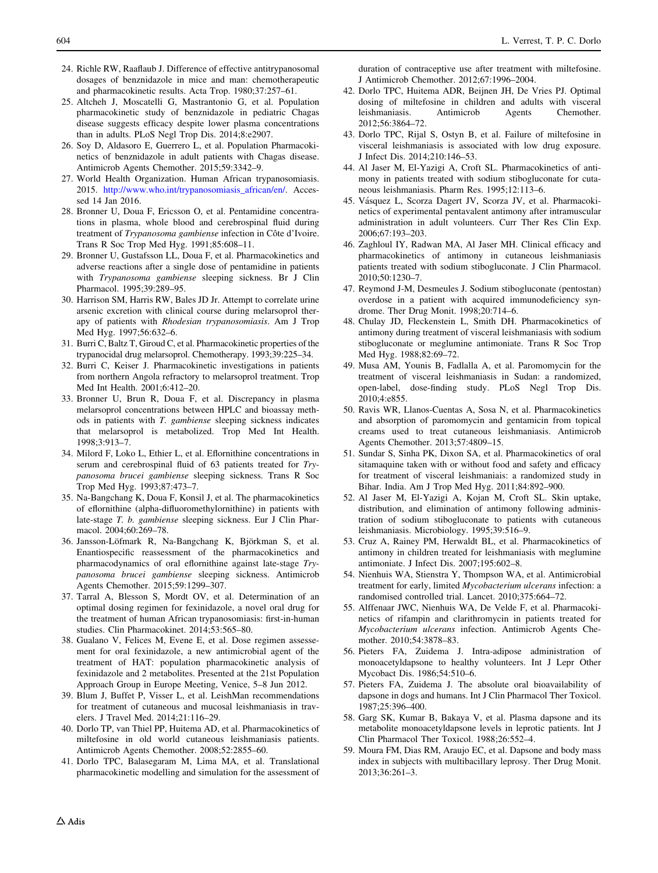- <span id="page-21-0"></span>24. Richle RW, Raaflaub J. Difference of effective antitrypanosomal dosages of benznidazole in mice and man: chemotherapeutic and pharmacokinetic results. Acta Trop. 1980;37:257–61.
- 25. Altcheh J, Moscatelli G, Mastrantonio G, et al. Population pharmacokinetic study of benznidazole in pediatric Chagas disease suggests efficacy despite lower plasma concentrations than in adults. PLoS Negl Trop Dis. 2014;8:e2907.
- 26. Soy D, Aldasoro E, Guerrero L, et al. Population Pharmacokinetics of benznidazole in adult patients with Chagas disease. Antimicrob Agents Chemother. 2015;59:3342–9.
- 27. World Health Organization. Human African trypanosomiasis. 2015. [http://www.who.int/trypanosomiasis\\_african/en/](http://www.who.int/trypanosomiasis_african/en/). Accessed 14 Jan 2016.
- 28. Bronner U, Doua F, Ericsson O, et al. Pentamidine concentrations in plasma, whole blood and cerebrospinal fluid during treatment of Trypanosoma gambiense infection in Côte d'Ivoire. Trans R Soc Trop Med Hyg. 1991;85:608–11.
- 29. Bronner U, Gustafsson LL, Doua F, et al. Pharmacokinetics and adverse reactions after a single dose of pentamidine in patients with Trypanosoma gambiense sleeping sickness. Br J Clin Pharmacol. 1995;39:289–95.
- 30. Harrison SM, Harris RW, Bales JD Jr. Attempt to correlate urine arsenic excretion with clinical course during melarsoprol therapy of patients with Rhodesian trypanosomiasis. Am J Trop Med Hyg. 1997;56:632–6.
- 31. Burri C, Baltz T, Giroud C, et al. Pharmacokinetic properties of the trypanocidal drug melarsoprol. Chemotherapy. 1993;39:225–34.
- 32. Burri C, Keiser J. Pharmacokinetic investigations in patients from northern Angola refractory to melarsoprol treatment. Trop Med Int Health. 2001;6:412–20.
- 33. Bronner U, Brun R, Doua F, et al. Discrepancy in plasma melarsoprol concentrations between HPLC and bioassay methods in patients with T. gambiense sleeping sickness indicates that melarsoprol is metabolized. Trop Med Int Health. 1998;3:913–7.
- 34. Milord F, Loko L, Ethier L, et al. Eflornithine concentrations in serum and cerebrospinal fluid of 63 patients treated for Trypanosoma brucei gambiense sleeping sickness. Trans R Soc Trop Med Hyg. 1993;87:473–7.
- 35. Na-Bangchang K, Doua F, Konsil J, et al. The pharmacokinetics of eflornithine (alpha-difluoromethylornithine) in patients with late-stage T. b. gambiense sleeping sickness. Eur J Clin Pharmacol. 2004;60:269–78.
- 36. Jansson-Löfmark R, Na-Bangchang K, Björkman S, et al. Enantiospecific reassessment of the pharmacokinetics and pharmacodynamics of oral eflornithine against late-stage Trypanosoma brucei gambiense sleeping sickness. Antimicrob Agents Chemother. 2015;59:1299–307.
- 37. Tarral A, Blesson S, Mordt OV, et al. Determination of an optimal dosing regimen for fexinidazole, a novel oral drug for the treatment of human African trypanosomiasis: first-in-human studies. Clin Pharmacokinet. 2014;53:565–80.
- 38. Gualano V, Felices M, Evene E, et al. Dose regimen assessement for oral fexinidazole, a new antimicrobial agent of the treatment of HAT: population pharmacokinetic analysis of fexinidazole and 2 metabolites. Presented at the 21st Population Approach Group in Europe Meeting, Venice, 5–8 Jun 2012.
- 39. Blum J, Buffet P, Visser L, et al. LeishMan recommendations for treatment of cutaneous and mucosal leishmaniasis in travelers. J Travel Med. 2014;21:116–29.
- 40. Dorlo TP, van Thiel PP, Huitema AD, et al. Pharmacokinetics of miltefosine in old world cutaneous leishmaniasis patients. Antimicrob Agents Chemother. 2008;52:2855–60.
- 41. Dorlo TPC, Balasegaram M, Lima MA, et al. Translational pharmacokinetic modelling and simulation for the assessment of

duration of contraceptive use after treatment with miltefosine. J Antimicrob Chemother. 2012;67:1996–2004.

- 42. Dorlo TPC, Huitema ADR, Beijnen JH, De Vries PJ. Optimal dosing of miltefosine in children and adults with visceral leishmaniasis. Antimicrob Agents Chemother. 2012;56:3864–72.
- 43. Dorlo TPC, Rijal S, Ostyn B, et al. Failure of miltefosine in visceral leishmaniasis is associated with low drug exposure. J Infect Dis. 2014;210:146–53.
- 44. Al Jaser M, El-Yazigi A, Croft SL. Pharmacokinetics of antimony in patients treated with sodium stibogluconate for cutaneous leishmaniasis. Pharm Res. 1995;12:113–6.
- 45. Vásquez L, Scorza Dagert JV, Scorza JV, et al. Pharmacokinetics of experimental pentavalent antimony after intramuscular administration in adult volunteers. Curr Ther Res Clin Exp. 2006;67:193–203.
- 46. Zaghloul IY, Radwan MA, Al Jaser MH. Clinical efficacy and pharmacokinetics of antimony in cutaneous leishmaniasis patients treated with sodium stibogluconate. J Clin Pharmacol. 2010;50:1230–7.
- 47. Reymond J-M, Desmeules J. Sodium stibogluconate (pentostan) overdose in a patient with acquired immunodeficiency syndrome. Ther Drug Monit. 1998;20:714–6.
- 48. Chulay JD, Fleckenstein L, Smith DH. Pharmacokinetics of antimony during treatment of visceral leishmaniasis with sodium stibogluconate or meglumine antimoniate. Trans R Soc Trop Med Hyg. 1988;82:69–72.
- 49. Musa AM, Younis B, Fadlalla A, et al. Paromomycin for the treatment of visceral leishmaniasis in Sudan: a randomized, open-label, dose-finding study. PLoS Negl Trop Dis. 2010;4:e855.
- 50. Ravis WR, Llanos-Cuentas A, Sosa N, et al. Pharmacokinetics and absorption of paromomycin and gentamicin from topical creams used to treat cutaneous leishmaniasis. Antimicrob Agents Chemother. 2013;57:4809–15.
- 51. Sundar S, Sinha PK, Dixon SA, et al. Pharmacokinetics of oral sitamaquine taken with or without food and safety and efficacy for treatment of visceral leishmaniais: a randomized study in Bihar. India. Am J Trop Med Hyg. 2011;84:892–900.
- 52. Al Jaser M, El-Yazigi A, Kojan M, Croft SL. Skin uptake, distribution, and elimination of antimony following administration of sodium stibogluconate to patients with cutaneous leishmaniasis. Microbiology. 1995;39:516–9.
- 53. Cruz A, Rainey PM, Herwaldt BL, et al. Pharmacokinetics of antimony in children treated for leishmaniasis with meglumine antimoniate. J Infect Dis. 2007;195:602–8.
- 54. Nienhuis WA, Stienstra Y, Thompson WA, et al. Antimicrobial treatment for early, limited Mycobacterium ulcerans infection: a randomised controlled trial. Lancet. 2010;375:664–72.
- 55. Alffenaar JWC, Nienhuis WA, De Velde F, et al. Pharmacokinetics of rifampin and clarithromycin in patients treated for Mycobacterium ulcerans infection. Antimicrob Agents Chemother. 2010;54:3878–83.
- 56. Pieters FA, Zuidema J. Intra-adipose administration of monoacetyldapsone to healthy volunteers. Int J Lepr Other Mycobact Dis. 1986;54:510–6.
- 57. Pieters FA, Zuidema J. The absolute oral bioavailability of dapsone in dogs and humans. Int J Clin Pharmacol Ther Toxicol. 1987;25:396–400.
- 58. Garg SK, Kumar B, Bakaya V, et al. Plasma dapsone and its metabolite monoacetyldapsone levels in leprotic patients. Int J Clin Pharmacol Ther Toxicol. 1988;26:552–4.
- 59. Moura FM, Dias RM, Araujo EC, et al. Dapsone and body mass index in subjects with multibacillary leprosy. Ther Drug Monit. 2013;36:261–3.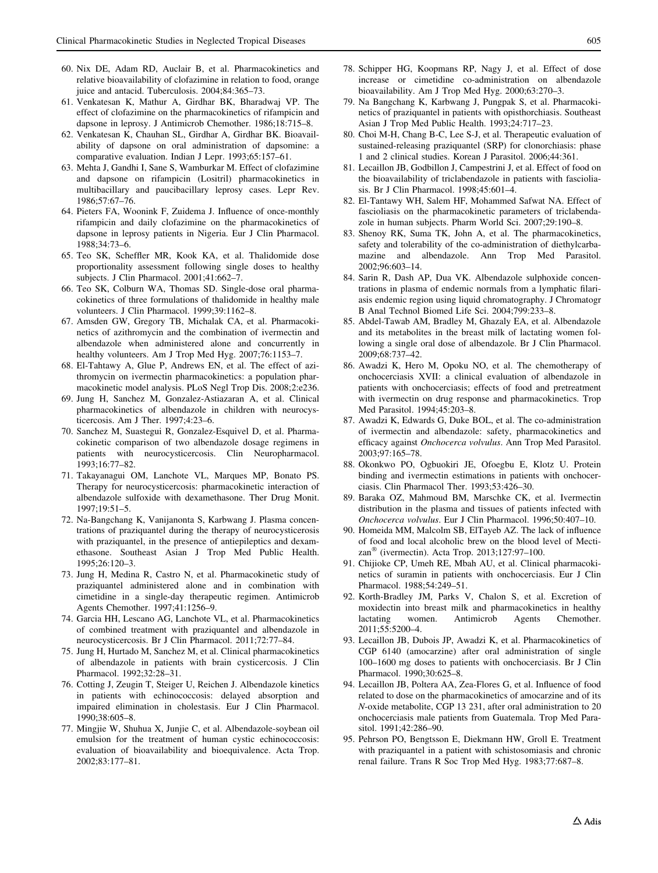- <span id="page-22-0"></span>60. Nix DE, Adam RD, Auclair B, et al. Pharmacokinetics and relative bioavailability of clofazimine in relation to food, orange juice and antacid. Tuberculosis. 2004;84:365–73.
- 61. Venkatesan K, Mathur A, Girdhar BK, Bharadwaj VP. The effect of clofazimine on the pharmacokinetics of rifampicin and dapsone in leprosy. J Antimicrob Chemother. 1986;18:715–8.
- 62. Venkatesan K, Chauhan SL, Girdhar A, Girdhar BK. Bioavailability of dapsone on oral administration of dapsomine: a comparative evaluation. Indian J Lepr. 1993;65:157–61.
- 63. Mehta J, Gandhi I, Sane S, Wamburkar M. Effect of clofazimine and dapsone on rifampicin (Lositril) pharmacokinetics in multibacillary and paucibacillary leprosy cases. Lepr Rev. 1986;57:67–76.
- 64. Pieters FA, Woonink F, Zuidema J. Influence of once-monthly rifampicin and daily clofazimine on the pharmacokinetics of dapsone in leprosy patients in Nigeria. Eur J Clin Pharmacol. 1988;34:73–6.
- 65. Teo SK, Scheffler MR, Kook KA, et al. Thalidomide dose proportionality assessment following single doses to healthy subjects. J Clin Pharmacol. 2001;41:662-7.
- 66. Teo SK, Colburn WA, Thomas SD. Single-dose oral pharmacokinetics of three formulations of thalidomide in healthy male volunteers. J Clin Pharmacol. 1999;39:1162–8.
- 67. Amsden GW, Gregory TB, Michalak CA, et al. Pharmacokinetics of azithromycin and the combination of ivermectin and albendazole when administered alone and concurrently in healthy volunteers. Am J Trop Med Hyg. 2007;76:1153–7.
- 68. El-Tahtawy A, Glue P, Andrews EN, et al. The effect of azithromycin on ivermectin pharmacokinetics: a population pharmacokinetic model analysis. PLoS Negl Trop Dis. 2008;2:e236.
- 69. Jung H, Sanchez M, Gonzalez-Astiazaran A, et al. Clinical pharmacokinetics of albendazole in children with neurocysticercosis. Am J Ther. 1997;4:23–6.
- 70. Sanchez M, Suastegui R, Gonzalez-Esquivel D, et al. Pharmacokinetic comparison of two albendazole dosage regimens in patients with neurocysticercosis. Clin Neuropharmacol. 1993;16:77–82.
- 71. Takayanagui OM, Lanchote VL, Marques MP, Bonato PS. Therapy for neurocysticercosis: pharmacokinetic interaction of albendazole sulfoxide with dexamethasone. Ther Drug Monit. 1997;19:51–5.
- 72. Na-Bangchang K, Vanijanonta S, Karbwang J. Plasma concentrations of praziquantel during the therapy of neurocysticerosis with praziquantel, in the presence of antiepileptics and dexamethasone. Southeast Asian J Trop Med Public Health. 1995;26:120–3.
- 73. Jung H, Medina R, Castro N, et al. Pharmacokinetic study of praziquantel administered alone and in combination with cimetidine in a single-day therapeutic regimen. Antimicrob Agents Chemother. 1997;41:1256–9.
- 74. Garcia HH, Lescano AG, Lanchote VL, et al. Pharmacokinetics of combined treatment with praziquantel and albendazole in neurocysticercosis. Br J Clin Pharmacol. 2011;72:77–84.
- 75. Jung H, Hurtado M, Sanchez M, et al. Clinical pharmacokinetics of albendazole in patients with brain cysticercosis. J Clin Pharmacol. 1992;32:28–31.
- 76. Cotting J, Zeugin T, Steiger U, Reichen J. Albendazole kinetics in patients with echinococcosis: delayed absorption and impaired elimination in cholestasis. Eur J Clin Pharmacol. 1990;38:605–8.
- 77. Mingjie W, Shuhua X, Junjie C, et al. Albendazole-soybean oil emulsion for the treatment of human cystic echinococcosis: evaluation of bioavailability and bioequivalence. Acta Trop. 2002;83:177–81.
- 78. Schipper HG, Koopmans RP, Nagy J, et al. Effect of dose increase or cimetidine co-administration on albendazole bioavailability. Am J Trop Med Hyg. 2000;63:270–3.
- 79. Na Bangchang K, Karbwang J, Pungpak S, et al. Pharmacokinetics of praziquantel in patients with opisthorchiasis. Southeast Asian J Trop Med Public Health. 1993;24:717–23.
- 80. Choi M-H, Chang B-C, Lee S-J, et al. Therapeutic evaluation of sustained-releasing praziquantel (SRP) for clonorchiasis: phase 1 and 2 clinical studies. Korean J Parasitol. 2006;44:361.
- 81. Lecaillon JB, Godbillon J, Campestrini J, et al. Effect of food on the bioavailability of triclabendazole in patients with fascioliasis. Br J Clin Pharmacol. 1998;45:601–4.
- 82. El-Tantawy WH, Salem HF, Mohammed Safwat NA. Effect of fascioliasis on the pharmacokinetic parameters of triclabendazole in human subjects. Pharm World Sci. 2007;29:190–8.
- 83. Shenoy RK, Suma TK, John A, et al. The pharmacokinetics, safety and tolerability of the co-administration of diethylcarbamazine and albendazole. Ann Trop Med Parasitol. 2002;96:603–14.
- 84. Sarin R, Dash AP, Dua VK. Albendazole sulphoxide concentrations in plasma of endemic normals from a lymphatic filariasis endemic region using liquid chromatography. J Chromatogr B Anal Technol Biomed Life Sci. 2004;799:233–8.
- 85. Abdel-Tawab AM, Bradley M, Ghazaly EA, et al. Albendazole and its metabolites in the breast milk of lactating women following a single oral dose of albendazole. Br J Clin Pharmacol. 2009;68:737–42.
- 86. Awadzi K, Hero M, Opoku NO, et al. The chemotherapy of onchocerciasis XVII: a clinical evaluation of albendazole in patients with onchocerciasis; effects of food and pretreatment with ivermectin on drug response and pharmacokinetics. Trop Med Parasitol. 1994;45:203–8.
- 87. Awadzi K, Edwards G, Duke BOL, et al. The co-administration of ivermectin and albendazole: safety, pharmacokinetics and efficacy against Onchocerca volvulus. Ann Trop Med Parasitol. 2003;97:165–78.
- 88. Okonkwo PO, Ogbuokiri JE, Ofoegbu E, Klotz U. Protein binding and ivermectin estimations in patients with onchocerciasis. Clin Pharmacol Ther. 1993;53:426–30.
- 89. Baraka OZ, Mahmoud BM, Marschke CK, et al. Ivermectin distribution in the plasma and tissues of patients infected with Onchocerca volvulus. Eur J Clin Pharmacol. 1996;50:407–10.
- 90. Homeida MM, Malcolm SB, ElTayeb AZ. The lack of influence of food and local alcoholic brew on the blood level of Mecti- $\text{zan}^{\textcircled{w}}$  (ivermectin). Acta Trop. 2013;127:97-100.
- 91. Chijioke CP, Umeh RE, Mbah AU, et al. Clinical pharmacokinetics of suramin in patients with onchocerciasis. Eur J Clin Pharmacol. 1988;54:249–51.
- 92. Korth-Bradley JM, Parks V, Chalon S, et al. Excretion of moxidectin into breast milk and pharmacokinetics in healthy lactating women. Antimicrob Agents Chemother. 2011;55:5200–4.
- 93. Lecaillon JB, Dubois JP, Awadzi K, et al. Pharmacokinetics of CGP 6140 (amocarzine) after oral administration of single 100–1600 mg doses to patients with onchocerciasis. Br J Clin Pharmacol. 1990;30:625–8.
- 94. Lecaillon JB, Poltera AA, Zea-Flores G, et al. Influence of food related to dose on the pharmacokinetics of amocarzine and of its N-oxide metabolite, CGP 13 231, after oral administration to 20 onchocerciasis male patients from Guatemala. Trop Med Parasitol. 1991;42:286–90.
- 95. Pehrson PO, Bengtsson E, Diekmann HW, Groll E. Treatment with praziquantel in a patient with schistosomiasis and chronic renal failure. Trans R Soc Trop Med Hyg. 1983;77:687–8.